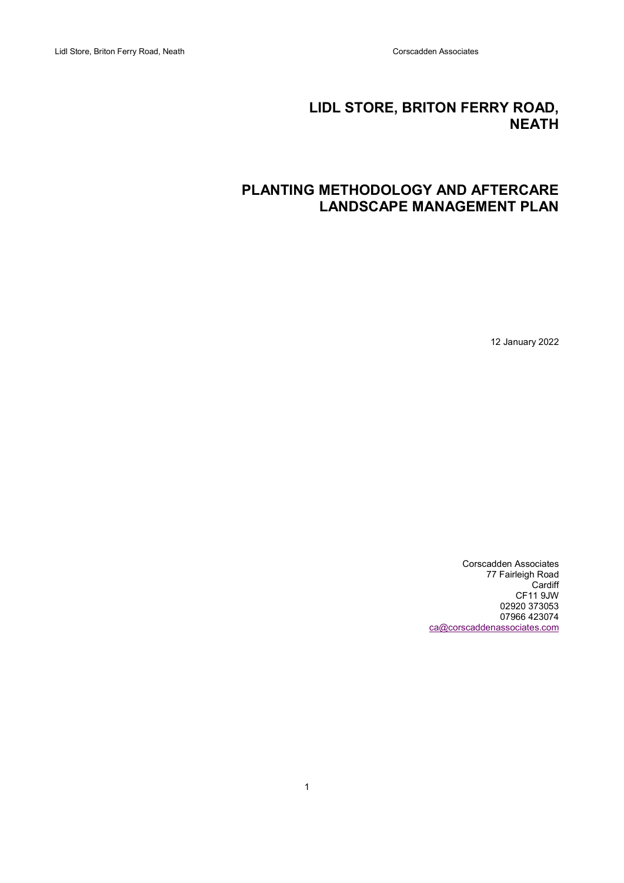# LIDL STORE, BRITON FERRY ROAD, NEATH

# PLANTING METHODOLOGY AND AFTERCARE LANDSCAPE MANAGEMENT PLAN

12 January 2022

Corscadden Associates 77 Fairleigh Road Cardiff CF11 9JW 02920 373053 07966 423074 ca@corscaddenassociates.com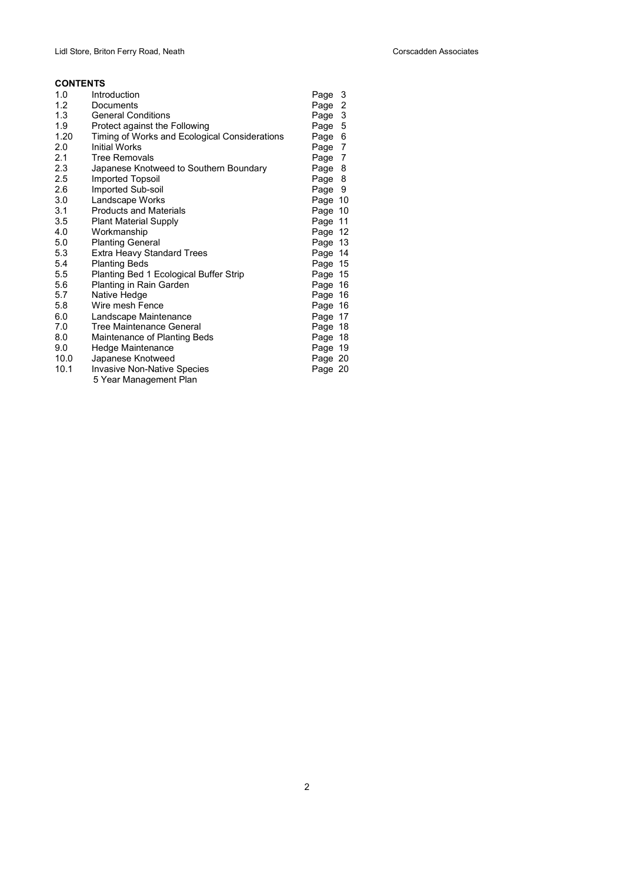## **CONTENTS**

| 1.0  | Introduction                                  | Page 3  |  |
|------|-----------------------------------------------|---------|--|
| 1.2  | Documents                                     | Page 2  |  |
| 1.3  | <b>General Conditions</b>                     | Page 3  |  |
| 1.9  | Protect against the Following                 | Page 5  |  |
| 1.20 | Timing of Works and Ecological Considerations | Page 6  |  |
| 2.0  | <b>Initial Works</b>                          | Page 7  |  |
| 2.1  | <b>Tree Removals</b>                          | Page 7  |  |
| 2.3  | Japanese Knotweed to Southern Boundary        | Page 8  |  |
| 2.5  | <b>Imported Topsoil</b>                       | Page 8  |  |
| 2.6  | Imported Sub-soil                             | Page 9  |  |
| 3.0  | Landscape Works                               | Page 10 |  |
| 3.1  | <b>Products and Materials</b>                 | Page 10 |  |
| 3.5  | <b>Plant Material Supply</b>                  | Page 11 |  |
| 4.0  | Workmanship                                   | Page 12 |  |
| 5.0  | <b>Planting General</b>                       | Page 13 |  |
| 5.3  | <b>Extra Heavy Standard Trees</b>             | Page 14 |  |
| 5.4  | <b>Planting Beds</b>                          | Page 15 |  |
| 5.5  | Planting Bed 1 Ecological Buffer Strip        | Page 15 |  |
| 5.6  | Planting in Rain Garden                       | Page 16 |  |
| 5.7  | Native Hedge                                  | Page 16 |  |
| 5.8  | Wire mesh Fence                               | Page 16 |  |
| 6.0  | Landscape Maintenance                         | Page 17 |  |
| 7.0  | Tree Maintenance General                      | Page 18 |  |
| 8.0  | Maintenance of Planting Beds                  | Page 18 |  |
| 9.0  | Hedge Maintenance                             | Page 19 |  |
| 10.0 | Japanese Knotweed                             | Page 20 |  |
| 10.1 | <b>Invasive Non-Native Species</b>            | Page 20 |  |
|      | 5 Year Management Plan                        |         |  |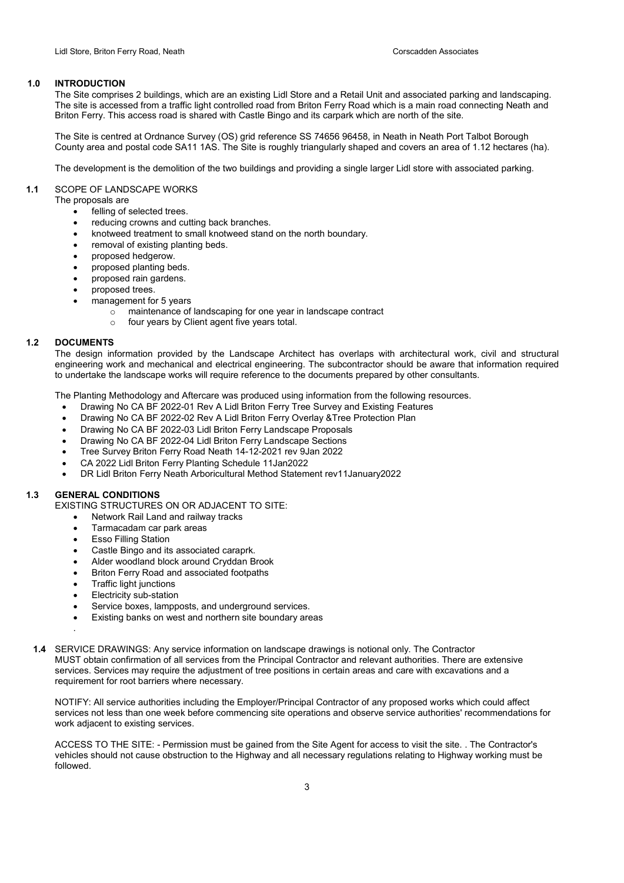## 1.0 INTRODUCTION

The Site comprises 2 buildings, which are an existing Lidl Store and a Retail Unit and associated parking and landscaping. The site is accessed from a traffic light controlled road from Briton Ferry Road which is a main road connecting Neath and Briton Ferry. This access road is shared with Castle Bingo and its carpark which are north of the site.

The Site is centred at Ordnance Survey (OS) grid reference SS 74656 96458, in Neath in Neath Port Talbot Borough County area and postal code SA11 1AS. The Site is roughly triangularly shaped and covers an area of 1.12 hectares (ha).

The development is the demolition of the two buildings and providing a single larger Lidl store with associated parking.

## 1.1 SCOPE OF LANDSCAPE WORKS

The proposals are

- felling of selected trees.
- reducing crowns and cutting back branches.
- knotweed treatment to small knotweed stand on the north boundary.
- removal of existing planting beds.
- proposed hedgerow.
- proposed planting beds.
- proposed rain gardens.
- proposed trees.
- management for 5 years
	- o maintenance of landscaping for one year in landscape contract
	- o four years by Client agent five years total.

## 1.2 DOCUMENTS

The design information provided by the Landscape Architect has overlaps with architectural work, civil and structural engineering work and mechanical and electrical engineering. The subcontractor should be aware that information required to undertake the landscape works will require reference to the documents prepared by other consultants.

The Planting Methodology and Aftercare was produced using information from the following resources.

- Drawing No CA BF 2022-01 Rev A Lidl Briton Ferry Tree Survey and Existing Features
- Drawing No CA BF 2022-02 Rev A Lidl Briton Ferry Overlay &Tree Protection Plan
- Drawing No CA BF 2022-03 Lidl Briton Ferry Landscape Proposals
- Drawing No CA BF 2022-04 Lidl Briton Ferry Landscape Sections
- Tree Survey Briton Ferry Road Neath 14-12-2021 rev 9Jan 2022
- CA 2022 Lidl Briton Ferry Planting Schedule 11Jan2022
- DR Lidl Briton Ferry Neath Arboricultural Method Statement rev11January2022

## 1.3 GENERAL CONDITIONS

.

EXISTING STRUCTURES ON OR ADJACENT TO SITE:

- Network Rail Land and railway tracks
- Tarmacadam car park areas
- Esso Filling Station
- Castle Bingo and its associated caraprk.
- Alder woodland block around Cryddan Brook
- Briton Ferry Road and associated footpaths
- Traffic light junctions
- Electricity sub-station
- Service boxes, lampposts, and underground services.
- Existing banks on west and northern site boundary areas
- 1.4 SERVICE DRAWINGS: Any service information on landscape drawings is notional only. The Contractor MUST obtain confirmation of all services from the Principal Contractor and relevant authorities. There are extensive services. Services may require the adjustment of tree positions in certain areas and care with excavations and a requirement for root barriers where necessary.

NOTIFY: All service authorities including the Employer/Principal Contractor of any proposed works which could affect services not less than one week before commencing site operations and observe service authorities' recommendations for work adjacent to existing services.

ACCESS TO THE SITE: - Permission must be gained from the Site Agent for access to visit the site. . The Contractor's vehicles should not cause obstruction to the Highway and all necessary regulations relating to Highway working must be followed.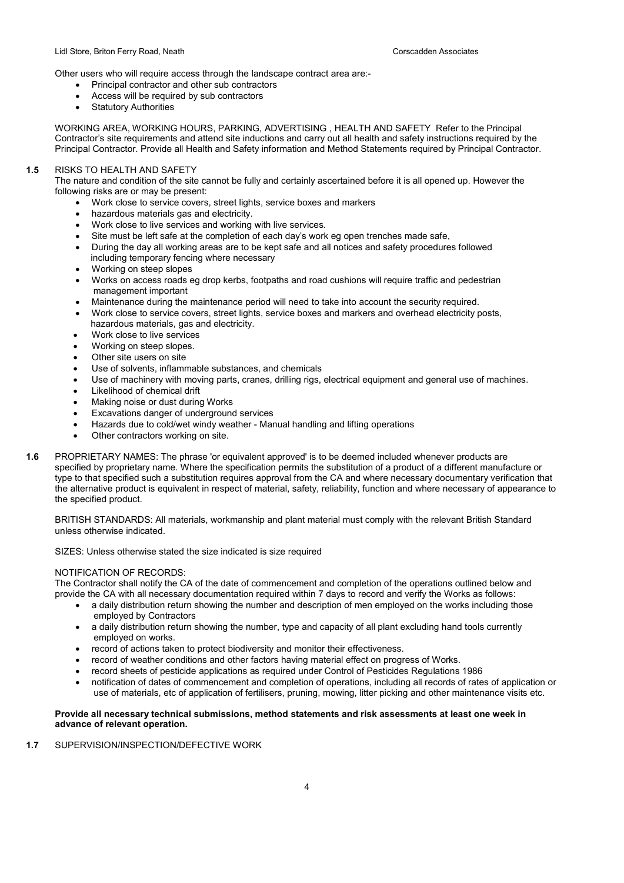Other users who will require access through the landscape contract area are:-

- Principal contractor and other sub contractors
- Access will be required by sub contractors
- Statutory Authorities

WORKING AREA, WORKING HOURS, PARKING, ADVERTISING , HEALTH AND SAFETY Refer to the Principal Contractor's site requirements and attend site inductions and carry out all health and safety instructions required by the Principal Contractor. Provide all Health and Safety information and Method Statements required by Principal Contractor.

## 1.5 RISKS TO HEALTH AND SAFETY

The nature and condition of the site cannot be fully and certainly ascertained before it is all opened up. However the following risks are or may be present:

- Work close to service covers, street lights, service boxes and markers
- hazardous materials gas and electricity.
- Work close to live services and working with live services.
- Site must be left safe at the completion of each day's work eg open trenches made safe,
- During the day all working areas are to be kept safe and all notices and safety procedures followed
- including temporary fencing where necessary
- Working on steep slopes
- Works on access roads eg drop kerbs, footpaths and road cushions will require traffic and pedestrian management important
- Maintenance during the maintenance period will need to take into account the security required.
- Work close to service covers, street lights, service boxes and markers and overhead electricity posts, hazardous materials, gas and electricity.
- Work close to live services
- Working on steep slopes.
- Other site users on site
- Use of solvents, inflammable substances, and chemicals
- Use of machinery with moving parts, cranes, drilling rigs, electrical equipment and general use of machines.
- Likelihood of chemical drift
- Making noise or dust during Works
- Excavations danger of underground services
- Hazards due to cold/wet windy weather Manual handling and lifting operations
- Other contractors working on site.
- 1.6 PROPRIETARY NAMES: The phrase 'or equivalent approved' is to be deemed included whenever products are specified by proprietary name. Where the specification permits the substitution of a product of a different manufacture or type to that specified such a substitution requires approval from the CA and where necessary documentary verification that the alternative product is equivalent in respect of material, safety, reliability, function and where necessary of appearance to the specified product.

BRITISH STANDARDS: All materials, workmanship and plant material must comply with the relevant British Standard unless otherwise indicated.

SIZES: Unless otherwise stated the size indicated is size required

## NOTIFICATION OF RECORDS:

The Contractor shall notify the CA of the date of commencement and completion of the operations outlined below and provide the CA with all necessary documentation required within 7 days to record and verify the Works as follows:

- a daily distribution return showing the number and description of men employed on the works including those employed by Contractors
- a daily distribution return showing the number, type and capacity of all plant excluding hand tools currently employed on works.
- record of actions taken to protect biodiversity and monitor their effectiveness.
- record of weather conditions and other factors having material effect on progress of Works.
- record sheets of pesticide applications as required under Control of Pesticides Regulations 1986
- notification of dates of commencement and completion of operations, including all records of rates of application or use of materials, etc of application of fertilisers, pruning, mowing, litter picking and other maintenance visits etc.

#### Provide all necessary technical submissions, method statements and risk assessments at least one week in advance of relevant operation.

## 1.7 SUPERVISION/INSPECTION/DEFECTIVE WORK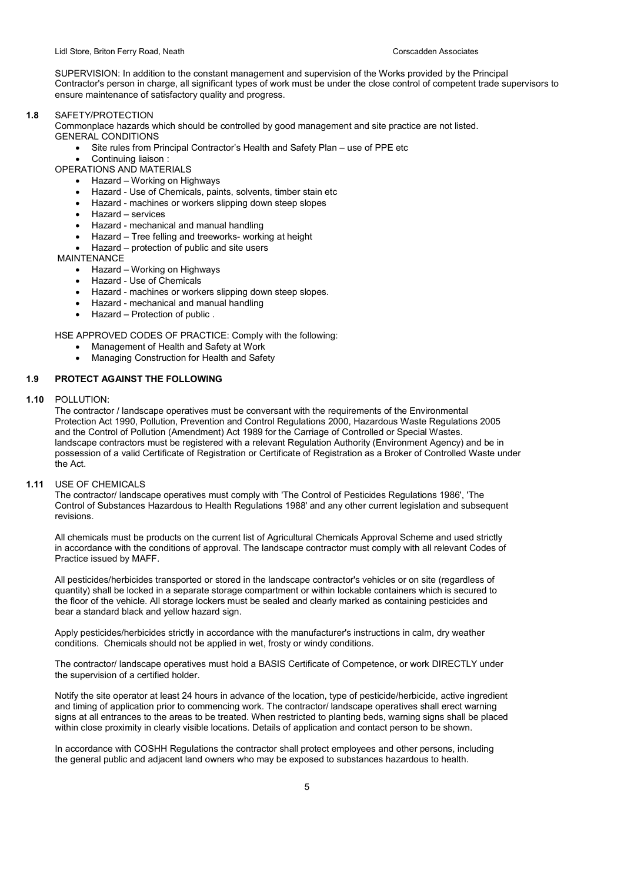SUPERVISION: In addition to the constant management and supervision of the Works provided by the Principal Contractor's person in charge, all significant types of work must be under the close control of competent trade supervisors to ensure maintenance of satisfactory quality and progress.

#### 1.8 SAFETY/PROTECTION

Commonplace hazards which should be controlled by good management and site practice are not listed. GENERAL CONDITIONS

- Site rules from Principal Contractor's Health and Safety Plan use of PPE etc
- Continuing liaison :

OPERATIONS AND MATERIALS

- Hazard Working on Highways
- Hazard Use of Chemicals, paints, solvents, timber stain etc
- Hazard machines or workers slipping down steep slopes
- Hazard services
- Hazard mechanical and manual handling
- Hazard Tree felling and treeworks- working at height
- Hazard protection of public and site users

MAINTENANCE

- Hazard Working on Highways
- Hazard Use of Chemicals
- Hazard machines or workers slipping down steep slopes.
- Hazard mechanical and manual handling
- Hazard Protection of public .

HSE APPROVED CODES OF PRACTICE: Comply with the following:

- Management of Health and Safety at Work
- Managing Construction for Health and Safety

## 1.9 PROTECT AGAINST THE FOLLOWING

1.10 POLLUTION:

The contractor / landscape operatives must be conversant with the requirements of the Environmental Protection Act 1990, Pollution, Prevention and Control Regulations 2000, Hazardous Waste Regulations 2005 and the Control of Pollution (Amendment) Act 1989 for the Carriage of Controlled or Special Wastes. landscape contractors must be registered with a relevant Regulation Authority (Environment Agency) and be in possession of a valid Certificate of Registration or Certificate of Registration as a Broker of Controlled Waste under the Act.

## 1.11 USE OF CHEMICALS

The contractor/ landscape operatives must comply with 'The Control of Pesticides Regulations 1986', 'The Control of Substances Hazardous to Health Regulations 1988' and any other current legislation and subsequent revisions.

All chemicals must be products on the current list of Agricultural Chemicals Approval Scheme and used strictly in accordance with the conditions of approval. The landscape contractor must comply with all relevant Codes of Practice issued by MAFF.

All pesticides/herbicides transported or stored in the landscape contractor's vehicles or on site (regardless of quantity) shall be locked in a separate storage compartment or within lockable containers which is secured to the floor of the vehicle. All storage lockers must be sealed and clearly marked as containing pesticides and bear a standard black and yellow hazard sign.

Apply pesticides/herbicides strictly in accordance with the manufacturer's instructions in calm, dry weather conditions. Chemicals should not be applied in wet, frosty or windy conditions.

The contractor/ landscape operatives must hold a BASIS Certificate of Competence, or work DIRECTLY under the supervision of a certified holder.

Notify the site operator at least 24 hours in advance of the location, type of pesticide/herbicide, active ingredient and timing of application prior to commencing work. The contractor/ landscape operatives shall erect warning signs at all entrances to the areas to be treated. When restricted to planting beds, warning signs shall be placed within close proximity in clearly visible locations. Details of application and contact person to be shown.

In accordance with COSHH Regulations the contractor shall protect employees and other persons, including the general public and adjacent land owners who may be exposed to substances hazardous to health.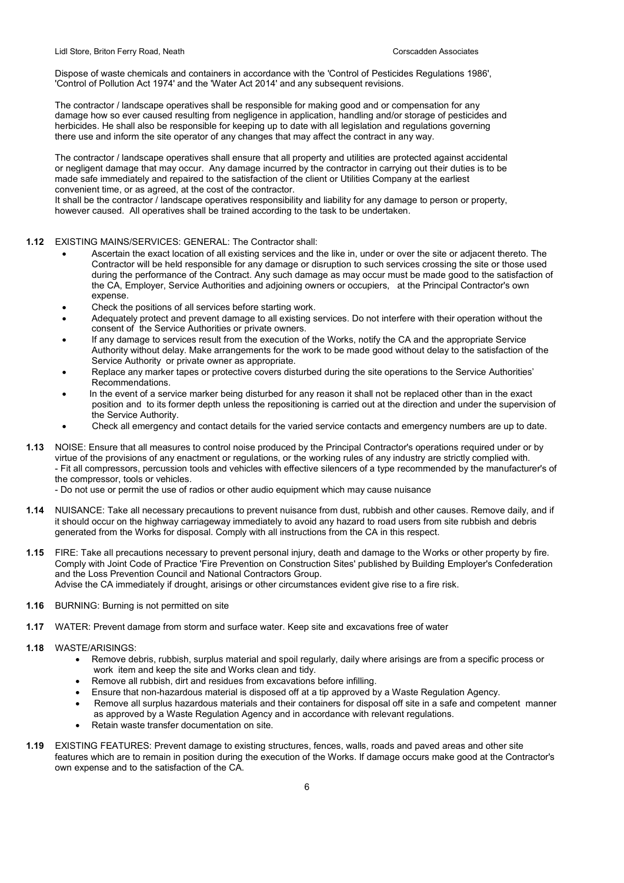Dispose of waste chemicals and containers in accordance with the 'Control of Pesticides Regulations 1986', 'Control of Pollution Act 1974' and the 'Water Act 2014' and any subsequent revisions.

The contractor / landscape operatives shall be responsible for making good and or compensation for any damage how so ever caused resulting from negligence in application, handling and/or storage of pesticides and herbicides. He shall also be responsible for keeping up to date with all legislation and regulations governing there use and inform the site operator of any changes that may affect the contract in any way.

The contractor / landscape operatives shall ensure that all property and utilities are protected against accidental or negligent damage that may occur. Any damage incurred by the contractor in carrying out their duties is to be made safe immediately and repaired to the satisfaction of the client or Utilities Company at the earliest convenient time, or as agreed, at the cost of the contractor.

It shall be the contractor / landscape operatives responsibility and liability for any damage to person or property, however caused. All operatives shall be trained according to the task to be undertaken.

- 1.12 EXISTING MAINS/SERVICES: GENERAL: The Contractor shall:
	- Ascertain the exact location of all existing services and the like in, under or over the site or adjacent thereto. The Contractor will be held responsible for any damage or disruption to such services crossing the site or those used during the performance of the Contract. Any such damage as may occur must be made good to the satisfaction of the CA, Employer, Service Authorities and adjoining owners or occupiers, at the Principal Contractor's own expense.
	- Check the positions of all services before starting work.
	- Adequately protect and prevent damage to all existing services. Do not interfere with their operation without the consent of the Service Authorities or private owners.
	- If any damage to services result from the execution of the Works, notify the CA and the appropriate Service Authority without delay. Make arrangements for the work to be made good without delay to the satisfaction of the Service Authority or private owner as appropriate.
	- Replace any marker tapes or protective covers disturbed during the site operations to the Service Authorities' Recommendations.
	- In the event of a service marker being disturbed for any reason it shall not be replaced other than in the exact position and to its former depth unless the repositioning is carried out at the direction and under the supervision of the Service Authority.
	- Check all emergency and contact details for the varied service contacts and emergency numbers are up to date.
- 1.13 NOISE: Ensure that all measures to control noise produced by the Principal Contractor's operations required under or by virtue of the provisions of any enactment or regulations, or the working rules of any industry are strictly complied with. - Fit all compressors, percussion tools and vehicles with effective silencers of a type recommended by the manufacturer's of the compressor, tools or vehicles.
	- Do not use or permit the use of radios or other audio equipment which may cause nuisance
- 1.14 NUISANCE: Take all necessary precautions to prevent nuisance from dust, rubbish and other causes. Remove daily, and if it should occur on the highway carriageway immediately to avoid any hazard to road users from site rubbish and debris generated from the Works for disposal. Comply with all instructions from the CA in this respect.
- 1.15 FIRE: Take all precautions necessary to prevent personal injury, death and damage to the Works or other property by fire. Comply with Joint Code of Practice 'Fire Prevention on Construction Sites' published by Building Employer's Confederation and the Loss Prevention Council and National Contractors Group. Advise the CA immediately if drought, arisings or other circumstances evident give rise to a fire risk.
- 1.16 BURNING: Burning is not permitted on site
- 1.17 WATER: Prevent damage from storm and surface water. Keep site and excavations free of water
- 1.18 WASTE/ARISINGS:
	- Remove debris, rubbish, surplus material and spoil regularly, daily where arisings are from a specific process or work item and keep the site and Works clean and tidy.
	- Remove all rubbish, dirt and residues from excavations before infilling.
	- Ensure that non-hazardous material is disposed off at a tip approved by a Waste Regulation Agency.
	- Remove all surplus hazardous materials and their containers for disposal off site in a safe and competent manner as approved by a Waste Regulation Agency and in accordance with relevant regulations.
	- Retain waste transfer documentation on site.
- 1.19 EXISTING FEATURES: Prevent damage to existing structures, fences, walls, roads and paved areas and other site features which are to remain in position during the execution of the Works. If damage occurs make good at the Contractor's own expense and to the satisfaction of the CA.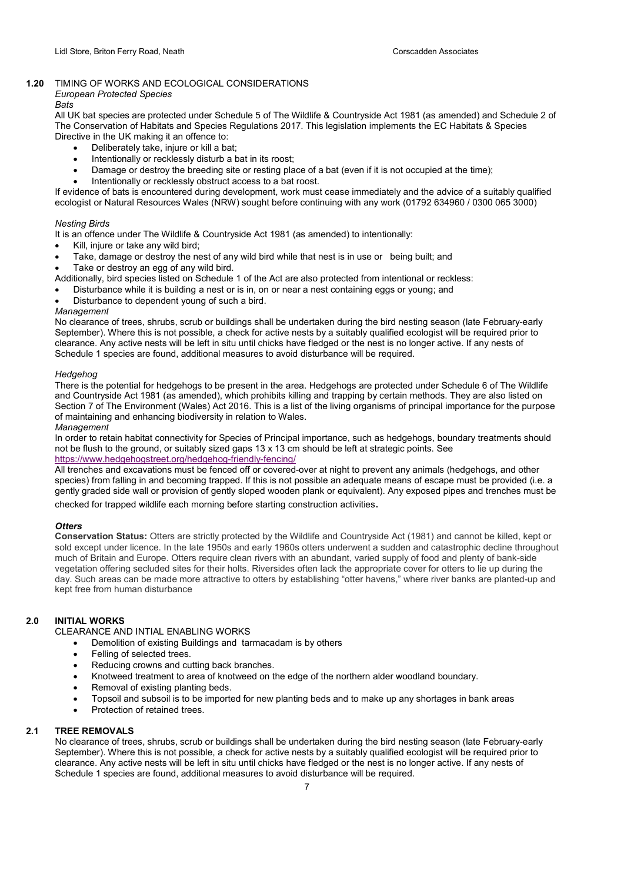## 1.20 TIMING OF WORKS AND ECOLOGICAL CONSIDERATIONS

## European Protected Species

## Bats

All UK bat species are protected under Schedule 5 of The Wildlife & Countryside Act 1981 (as amended) and Schedule 2 of The Conservation of Habitats and Species Regulations 2017. This legislation implements the EC Habitats & Species Directive in the UK making it an offence to:

- Deliberately take, injure or kill a bat;
- Intentionally or recklessly disturb a bat in its roost;
- Damage or destroy the breeding site or resting place of a bat (even if it is not occupied at the time);
- Intentionally or recklessly obstruct access to a bat roost.

If evidence of bats is encountered during development, work must cease immediately and the advice of a suitably qualified ecologist or Natural Resources Wales (NRW) sought before continuing with any work (01792 634960 / 0300 065 3000)

## Nesting Birds

It is an offence under The Wildlife & Countryside Act 1981 (as amended) to intentionally:

- Kill, injure or take any wild bird;
- Take, damage or destroy the nest of any wild bird while that nest is in use or being built; and
- Take or destroy an egg of any wild bird.

Additionally, bird species listed on Schedule 1 of the Act are also protected from intentional or reckless:

- Disturbance while it is building a nest or is in, on or near a nest containing eggs or young; and
- Disturbance to dependent young of such a bird.

#### Management

No clearance of trees, shrubs, scrub or buildings shall be undertaken during the bird nesting season (late February-early September). Where this is not possible, a check for active nests by a suitably qualified ecologist will be required prior to clearance. Any active nests will be left in situ until chicks have fledged or the nest is no longer active. If any nests of Schedule 1 species are found, additional measures to avoid disturbance will be required.

## Hedgehog

There is the potential for hedgehogs to be present in the area. Hedgehogs are protected under Schedule 6 of The Wildlife and Countryside Act 1981 (as amended), which prohibits killing and trapping by certain methods. They are also listed on Section 7 of The Environment (Wales) Act 2016. This is a list of the living organisms of principal importance for the purpose of maintaining and enhancing biodiversity in relation to Wales.

## Management

In order to retain habitat connectivity for Species of Principal importance, such as hedgehogs, boundary treatments should not be flush to the ground, or suitably sized gaps 13 x 13 cm should be left at strategic points. See https://www.hedgehogstreet.org/hedgehog-friendly-fencing/

All trenches and excavations must be fenced off or covered-over at night to prevent any animals (hedgehogs, and other species) from falling in and becoming trapped. If this is not possible an adequate means of escape must be provided (i.e. a gently graded side wall or provision of gently sloped wooden plank or equivalent). Any exposed pipes and trenches must be checked for trapped wildlife each morning before starting construction activities.

## **Otters**

Conservation Status: Otters are strictly protected by the Wildlife and Countryside Act (1981) and cannot be killed, kept or sold except under licence. In the late 1950s and early 1960s otters underwent a sudden and catastrophic decline throughout much of Britain and Europe. Otters require clean rivers with an abundant, varied supply of food and plenty of bank-side vegetation offering secluded sites for their holts. Riversides often lack the appropriate cover for otters to lie up during the day. Such areas can be made more attractive to otters by establishing "otter havens," where river banks are planted-up and kept free from human disturbance

## 2.0 INITIAL WORKS

CLEARANCE AND INTIAL ENABLING WORKS

- Demolition of existing Buildings and tarmacadam is by others
- Felling of selected trees.
- Reducing crowns and cutting back branches.
- Knotweed treatment to area of knotweed on the edge of the northern alder woodland boundary.
- Removal of existing planting beds.
- Topsoil and subsoil is to be imported for new planting beds and to make up any shortages in bank areas
- Protection of retained trees.

## 2.1 TREE REMOVALS

No clearance of trees, shrubs, scrub or buildings shall be undertaken during the bird nesting season (late February-early September). Where this is not possible, a check for active nests by a suitably qualified ecologist will be required prior to clearance. Any active nests will be left in situ until chicks have fledged or the nest is no longer active. If any nests of Schedule 1 species are found, additional measures to avoid disturbance will be required.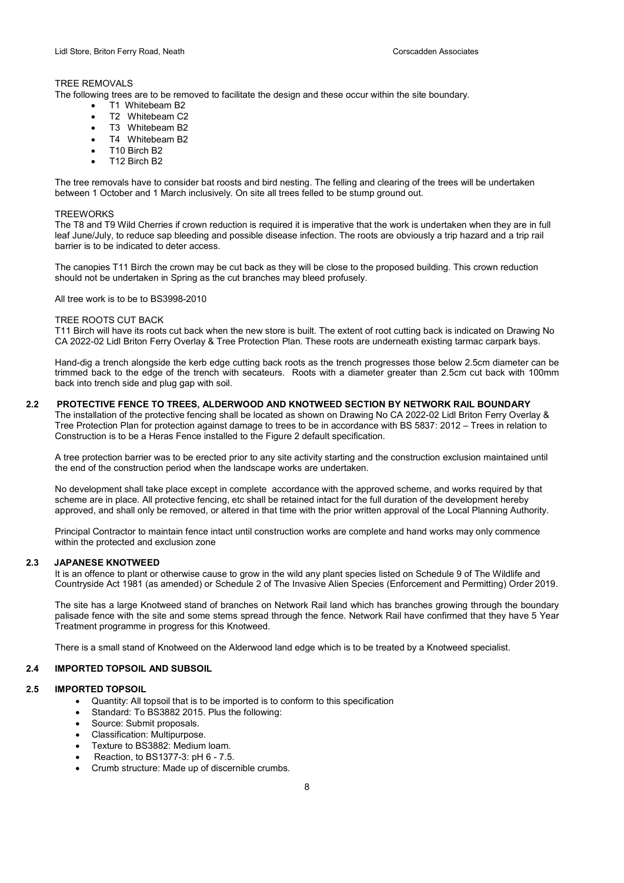## TREE REMOVALS

The following trees are to be removed to facilitate the design and these occur within the site boundary.

- T1 Whitebeam B2
- T2 Whitebeam C2
- $\bullet$  T3 Whitebeam B2
- T4 Whitebeam B2
- T10 Birch B2
- T12 Birch B2

The tree removals have to consider bat roosts and bird nesting. The felling and clearing of the trees will be undertaken between 1 October and 1 March inclusively. On site all trees felled to be stump ground out.

#### **TREEWORKS**

The T8 and T9 Wild Cherries if crown reduction is required it is imperative that the work is undertaken when they are in full leaf June/July, to reduce sap bleeding and possible disease infection. The roots are obviously a trip hazard and a trip rail barrier is to be indicated to deter access.

The canopies T11 Birch the crown may be cut back as they will be close to the proposed building. This crown reduction should not be undertaken in Spring as the cut branches may bleed profusely.

All tree work is to be to BS3998-2010

#### TREE ROOTS CUT BACK

T11 Birch will have its roots cut back when the new store is built. The extent of root cutting back is indicated on Drawing No CA 2022-02 Lidl Briton Ferry Overlay & Tree Protection Plan. These roots are underneath existing tarmac carpark bays.

Hand-dig a trench alongside the kerb edge cutting back roots as the trench progresses those below 2.5cm diameter can be trimmed back to the edge of the trench with secateurs. Roots with a diameter greater than 2.5cm cut back with 100mm back into trench side and plug gap with soil.

#### 2.2 PROTECTIVE FENCE TO TREES, ALDERWOOD AND KNOTWEED SECTION BY NETWORK RAIL BOUNDARY

The installation of the protective fencing shall be located as shown on Drawing No CA 2022-02 Lidl Briton Ferry Overlay & Tree Protection Plan for protection against damage to trees to be in accordance with BS 5837: 2012 – Trees in relation to Construction is to be a Heras Fence installed to the Figure 2 default specification.

A tree protection barrier was to be erected prior to any site activity starting and the construction exclusion maintained until the end of the construction period when the landscape works are undertaken.

No development shall take place except in complete accordance with the approved scheme, and works required by that scheme are in place. All protective fencing, etc shall be retained intact for the full duration of the development hereby approved, and shall only be removed, or altered in that time with the prior written approval of the Local Planning Authority.

Principal Contractor to maintain fence intact until construction works are complete and hand works may only commence within the protected and exclusion zone

## 2.3 JAPANESE KNOTWEED

It is an offence to plant or otherwise cause to grow in the wild any plant species listed on Schedule 9 of The Wildlife and Countryside Act 1981 (as amended) or Schedule 2 of The Invasive Alien Species (Enforcement and Permitting) Order 2019.

The site has a large Knotweed stand of branches on Network Rail land which has branches growing through the boundary palisade fence with the site and some stems spread through the fence. Network Rail have confirmed that they have 5 Year Treatment programme in progress for this Knotweed.

There is a small stand of Knotweed on the Alderwood land edge which is to be treated by a Knotweed specialist.

#### 2.4 IMPORTED TOPSOIL AND SUBSOIL

## 2.5 IMPORTED TOPSOIL

- Quantity: All topsoil that is to be imported is to conform to this specification
- Standard: To BS3882 2015. Plus the following:
- Source: Submit proposals.
- Classification: Multipurpose.
- Texture to BS3882: Medium loam.
- Reaction, to BS1377-3: pH 6 7.5.
- Crumb structure: Made up of discernible crumbs.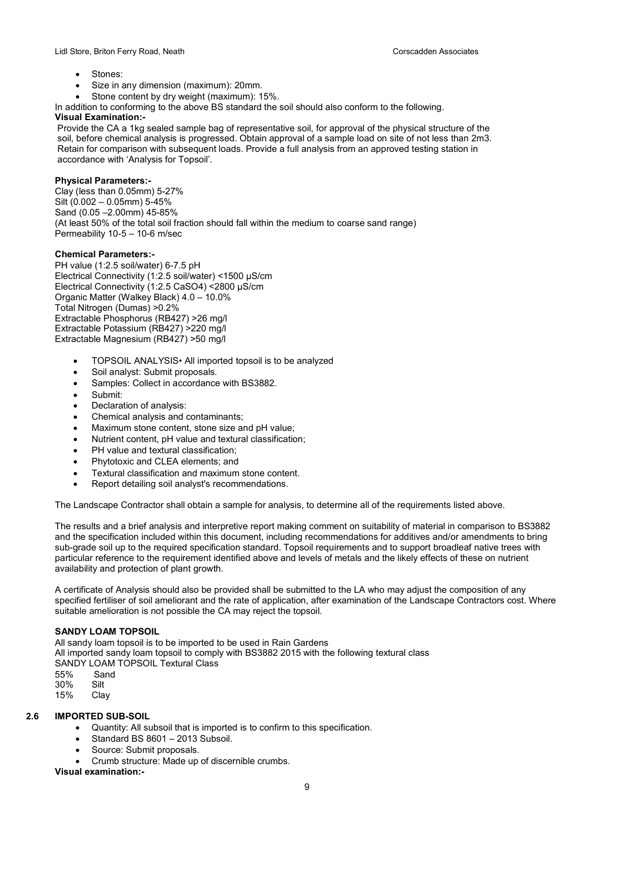- Stones:
- Size in any dimension (maximum): 20mm.
- Stone content by dry weight (maximum): 15%.

In addition to conforming to the above BS standard the soil should also conform to the following.

## Visual Examination:-

 Provide the CA a 1kg sealed sample bag of representative soil, for approval of the physical structure of the soil, before chemical analysis is progressed. Obtain approval of a sample load on site of not less than 2m3. Retain for comparison with subsequent loads. Provide a full analysis from an approved testing station in accordance with 'Analysis for Topsoil'.

## Physical Parameters:-

Clay (less than 0.05mm) 5-27% Silt (0.002 – 0.05mm) 5-45% Sand (0.05 –2.00mm) 45-85% (At least 50% of the total soil fraction should fall within the medium to coarse sand range) Permeability 10-5 – 10-6 m/sec

## Chemical Parameters:-

PH value (1:2.5 soil/water) 6-7.5 pH Electrical Connectivity (1:2.5 soil/water) <1500 μS/cm Electrical Connectivity (1:2.5 CaSO4) <2800 μS/cm Organic Matter (Walkey Black) 4.0 – 10.0% Total Nitrogen (Dumas) >0.2% Extractable Phosphorus (RB427) >26 mg/l Extractable Potassium (RB427) >220 mg/l Extractable Magnesium (RB427) >50 mg/l

- TOPSOIL ANALYSIS• All imported topsoil is to be analyzed
- Soil analyst: Submit proposals.
- Samples: Collect in accordance with BS3882.
- Submit:
- Declaration of analysis:
- Chemical analysis and contaminants;
- Maximum stone content, stone size and pH value;
- Nutrient content, pH value and textural classification;
- PH value and textural classification;
- Phytotoxic and CLEA elements; and
- Textural classification and maximum stone content.
- Report detailing soil analyst's recommendations.

The Landscape Contractor shall obtain a sample for analysis, to determine all of the requirements listed above.

The results and a brief analysis and interpretive report making comment on suitability of material in comparison to BS3882 and the specification included within this document, including recommendations for additives and/or amendments to bring sub-grade soil up to the required specification standard. Topsoil requirements and to support broadleaf native trees with particular reference to the requirement identified above and levels of metals and the likely effects of these on nutrient availability and protection of plant growth.

A certificate of Analysis should also be provided shall be submitted to the LA who may adjust the composition of any specified fertiliser of soil ameliorant and the rate of application, after examination of the Landscape Contractors cost. Where suitable amelioration is not possible the CA may reject the topsoil.

## SANDY LOAM TOPSOIL

All sandy loam topsoil is to be imported to be used in Rain Gardens

All imported sandy loam topsoil to comply with BS3882 2015 with the following textural class

SANDY LOAM TOPSOIL Textural Class

- 55% Sand
- 30% Silt

Clay

## 2.6 IMPORTED SUB-SOIL

- Quantity: All subsoil that is imported is to confirm to this specification.
- Standard BS 8601 2013 Subsoil.
- Source: Submit proposals.
- Crumb structure: Made up of discernible crumbs.

Visual examination:-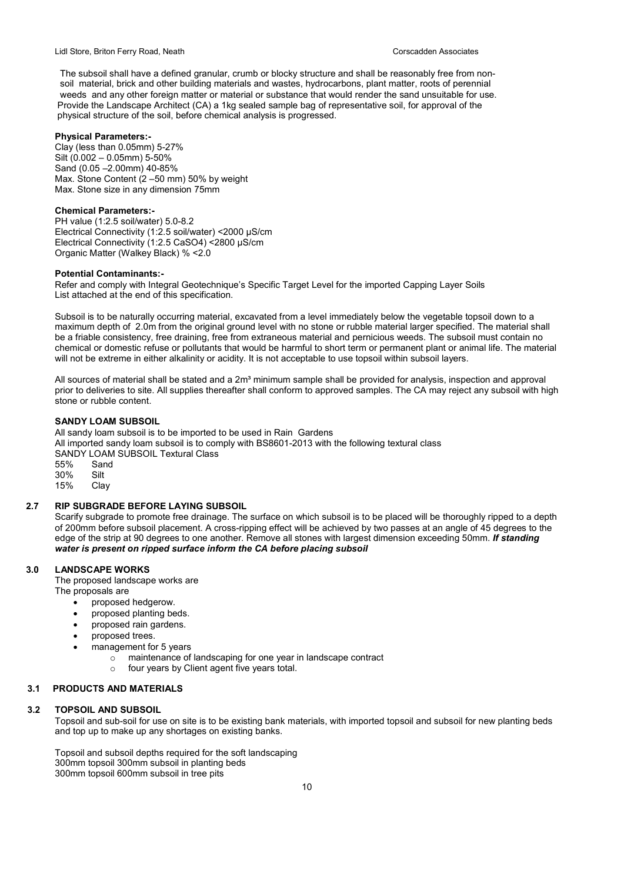The subsoil shall have a defined granular, crumb or blocky structure and shall be reasonably free from non soil material, brick and other building materials and wastes, hydrocarbons, plant matter, roots of perennial weeds and any other foreign matter or material or substance that would render the sand unsuitable for use. Provide the Landscape Architect (CA) a 1kg sealed sample bag of representative soil, for approval of the physical structure of the soil, before chemical analysis is progressed.

## Physical Parameters:-

Clay (less than 0.05mm) 5-27% Silt (0.002 – 0.05mm) 5-50% Sand (0.05 –2.00mm) 40-85% Max. Stone Content (2 –50 mm) 50% by weight Max. Stone size in any dimension 75mm

## Chemical Parameters:-

PH value (1:2.5 soil/water) 5.0-8.2 Electrical Connectivity (1:2.5 soil/water) <2000 μS/cm Electrical Connectivity (1:2.5 CaSO4) <2800 μS/cm Organic Matter (Walkey Black) % <2.0

## Potential Contaminants:-

Refer and comply with Integral Geotechnique's Specific Target Level for the imported Capping Layer Soils List attached at the end of this specification.

Subsoil is to be naturally occurring material, excavated from a level immediately below the vegetable topsoil down to a maximum depth of 2.0m from the original ground level with no stone or rubble material larger specified. The material shall be a friable consistency, free draining, free from extraneous material and pernicious weeds. The subsoil must contain no chemical or domestic refuse or pollutants that would be harmful to short term or permanent plant or animal life. The material will not be extreme in either alkalinity or acidity. It is not acceptable to use topsoil within subsoil layers.

All sources of material shall be stated and a  $2m<sup>3</sup>$  minimum sample shall be provided for analysis, inspection and approval prior to deliveries to site. All supplies thereafter shall conform to approved samples. The CA may reject any subsoil with high stone or rubble content.

## SANDY LOAM SUBSOIL

All sandy loam subsoil is to be imported to be used in Rain Gardens All imported sandy loam subsoil is to comply with BS8601-2013 with the following textural class SANDY LOAM SUBSOIL Textural Class 55% Sand 30% Silt 15% Clay

## 2.7 RIP SUBGRADE BEFORE LAYING SUBSOIL

Scarify subgrade to promote free drainage. The surface on which subsoil is to be placed will be thoroughly ripped to a depth of 200mm before subsoil placement. A cross-ripping effect will be achieved by two passes at an angle of 45 degrees to the edge of the strip at 90 degrees to one another. Remove all stones with largest dimension exceeding 50mm. If standing water is present on ripped surface inform the CA before placing subsoil

## 3.0 LANDSCAPE WORKS

The proposed landscape works are

- The proposals are
	- proposed hedgerow.
	- proposed planting beds.
	- proposed rain gardens.
	- proposed trees.
	- management for 5 years
		- $\circ$  maintenance of landscaping for one year in landscape contract
		- o four years by Client agent five years total.

## 3.1 PRODUCTS AND MATERIALS

#### 3.2 TOPSOIL AND SUBSOIL

Topsoil and sub-soil for use on site is to be existing bank materials, with imported topsoil and subsoil for new planting beds and top up to make up any shortages on existing banks.

Topsoil and subsoil depths required for the soft landscaping 300mm topsoil 300mm subsoil in planting beds 300mm topsoil 600mm subsoil in tree pits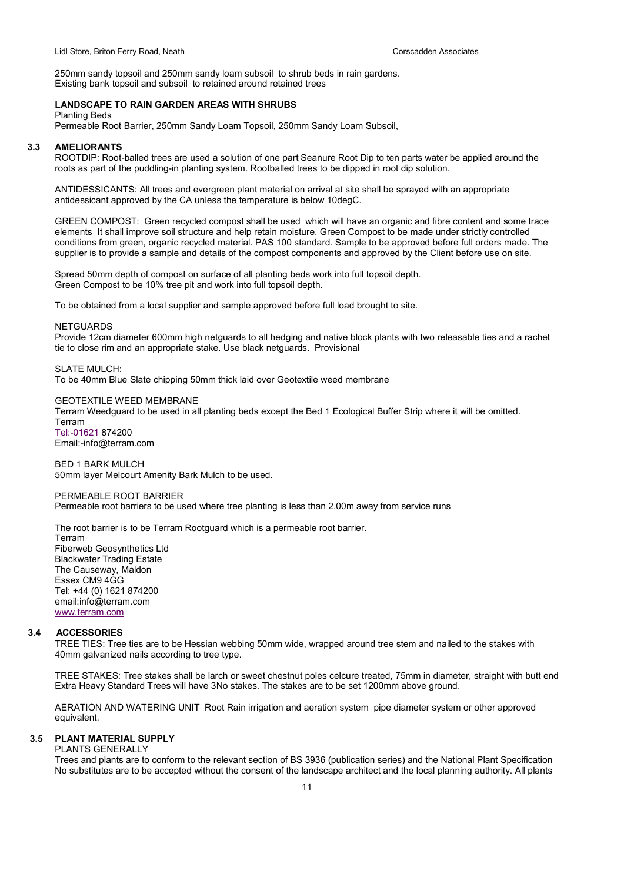250mm sandy topsoil and 250mm sandy loam subsoil to shrub beds in rain gardens. Existing bank topsoil and subsoil to retained around retained trees

## LANDSCAPE TO RAIN GARDEN AREAS WITH SHRUBS

Planting Beds

Permeable Root Barrier, 250mm Sandy Loam Topsoil, 250mm Sandy Loam Subsoil,

#### 3.3 AMELIORANTS

ROOTDIP: Root-balled trees are used a solution of one part Seanure Root Dip to ten parts water be applied around the roots as part of the puddling-in planting system. Rootballed trees to be dipped in root dip solution.

ANTIDESSICANTS: All trees and evergreen plant material on arrival at site shall be sprayed with an appropriate antidessicant approved by the CA unless the temperature is below 10degC.

GREEN COMPOST: Green recycled compost shall be used which will have an organic and fibre content and some trace elements It shall improve soil structure and help retain moisture. Green Compost to be made under strictly controlled conditions from green, organic recycled material. PAS 100 standard. Sample to be approved before full orders made. The supplier is to provide a sample and details of the compost components and approved by the Client before use on site.

Spread 50mm depth of compost on surface of all planting beds work into full topsoil depth. Green Compost to be 10% tree pit and work into full topsoil depth.

To be obtained from a local supplier and sample approved before full load brought to site.

#### **NETGUARDS**

Provide 12cm diameter 600mm high netguards to all hedging and native block plants with two releasable ties and a rachet tie to close rim and an appropriate stake. Use black netguards. Provisional

#### SLATE MULCH:

To be 40mm Blue Slate chipping 50mm thick laid over Geotextile weed membrane

#### GEOTEXTILE WEED MEMBRANE

Terram Weedguard to be used in all planting beds except the Bed 1 Ecological Buffer Strip where it will be omitted.

Terram Tel:-01621 874200 Email:-info@terram.com

BED 1 BARK MULCH 50mm layer Melcourt Amenity Bark Mulch to be used.

#### PERMEABLE ROOT BARRIER

Permeable root barriers to be used where tree planting is less than 2.00m away from service runs

The root barrier is to be Terram Rootguard which is a permeable root barrier.

Terram Fiberweb Geosynthetics Ltd Blackwater Trading Estate The Causeway, Maldon Essex CM9 4GG Tel: +44 (0) 1621 874200 email:info@terram.com www.terram.com

#### 3.4 ACCESSORIES

TREE TIES: Tree ties are to be Hessian webbing 50mm wide, wrapped around tree stem and nailed to the stakes with 40mm galvanized nails according to tree type.

TREE STAKES: Tree stakes shall be larch or sweet chestnut poles celcure treated, 75mm in diameter, straight with butt end Extra Heavy Standard Trees will have 3No stakes. The stakes are to be set 1200mm above ground.

AERATION AND WATERING UNIT Root Rain irrigation and aeration system pipe diameter system or other approved equivalent.

## 3.5 PLANT MATERIAL SUPPLY

#### PLANTS GENERALLY

Trees and plants are to conform to the relevant section of BS 3936 (publication series) and the National Plant Specification No substitutes are to be accepted without the consent of the landscape architect and the local planning authority. All plants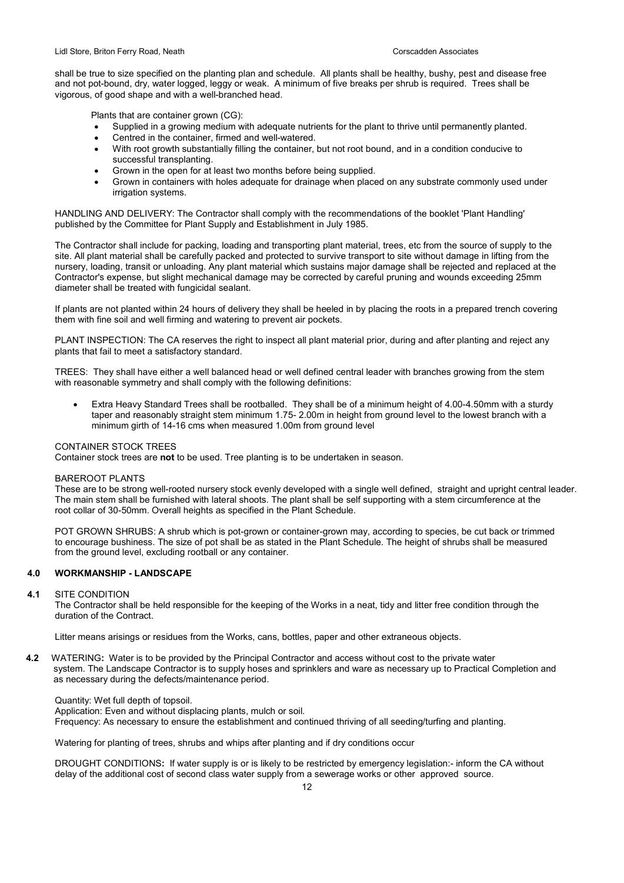shall be true to size specified on the planting plan and schedule. All plants shall be healthy, bushy, pest and disease free and not pot-bound, dry, water logged, leggy or weak. A minimum of five breaks per shrub is required. Trees shall be vigorous, of good shape and with a well-branched head.

Plants that are container grown (CG):

- Supplied in a growing medium with adequate nutrients for the plant to thrive until permanently planted.
- Centred in the container, firmed and well-watered.
- With root growth substantially filling the container, but not root bound, and in a condition conducive to successful transplanting.
- Grown in the open for at least two months before being supplied.
- Grown in containers with holes adequate for drainage when placed on any substrate commonly used under irrigation systems.

HANDLING AND DELIVERY: The Contractor shall comply with the recommendations of the booklet 'Plant Handling' published by the Committee for Plant Supply and Establishment in July 1985.

The Contractor shall include for packing, loading and transporting plant material, trees, etc from the source of supply to the site. All plant material shall be carefully packed and protected to survive transport to site without damage in lifting from the nursery, loading, transit or unloading. Any plant material which sustains major damage shall be rejected and replaced at the Contractor's expense, but slight mechanical damage may be corrected by careful pruning and wounds exceeding 25mm diameter shall be treated with fungicidal sealant.

If plants are not planted within 24 hours of delivery they shall be heeled in by placing the roots in a prepared trench covering them with fine soil and well firming and watering to prevent air pockets.

PLANT INSPECTION: The CA reserves the right to inspect all plant material prior, during and after planting and reject any plants that fail to meet a satisfactory standard.

TREES: They shall have either a well balanced head or well defined central leader with branches growing from the stem with reasonable symmetry and shall comply with the following definitions:

 Extra Heavy Standard Trees shall be rootballed. They shall be of a minimum height of 4.00-4.50mm with a sturdy taper and reasonably straight stem minimum 1.75- 2.00m in height from ground level to the lowest branch with a minimum girth of 14-16 cms when measured 1.00m from ground level

## CONTAINER STOCK TREES

Container stock trees are not to be used. Tree planting is to be undertaken in season.

## BAREROOT PLANTS

These are to be strong well-rooted nursery stock evenly developed with a single well defined, straight and upright central leader. The main stem shall be furnished with lateral shoots. The plant shall be self supporting with a stem circumference at the root collar of 30-50mm. Overall heights as specified in the Plant Schedule.

POT GROWN SHRUBS: A shrub which is pot-grown or container-grown may, according to species, be cut back or trimmed to encourage bushiness. The size of pot shall be as stated in the Plant Schedule. The height of shrubs shall be measured from the ground level, excluding rootball or any container.

## 4.0 WORKMANSHIP - LANDSCAPE

#### 4.1 SITE CONDITION

The Contractor shall be held responsible for the keeping of the Works in a neat, tidy and litter free condition through the duration of the Contract.

Litter means arisings or residues from the Works, cans, bottles, paper and other extraneous objects.

4.2 WATERING: Water is to be provided by the Principal Contractor and access without cost to the private water system. The Landscape Contractor is to supply hoses and sprinklers and ware as necessary up to Practical Completion and as necessary during the defects/maintenance period.

Quantity: Wet full depth of topsoil.

Application: Even and without displacing plants, mulch or soil.

Frequency: As necessary to ensure the establishment and continued thriving of all seeding/turfing and planting.

Watering for planting of trees, shrubs and whips after planting and if dry conditions occur

DROUGHT CONDITIONS: If water supply is or is likely to be restricted by emergency legislation:- inform the CA without delay of the additional cost of second class water supply from a sewerage works or other approved source.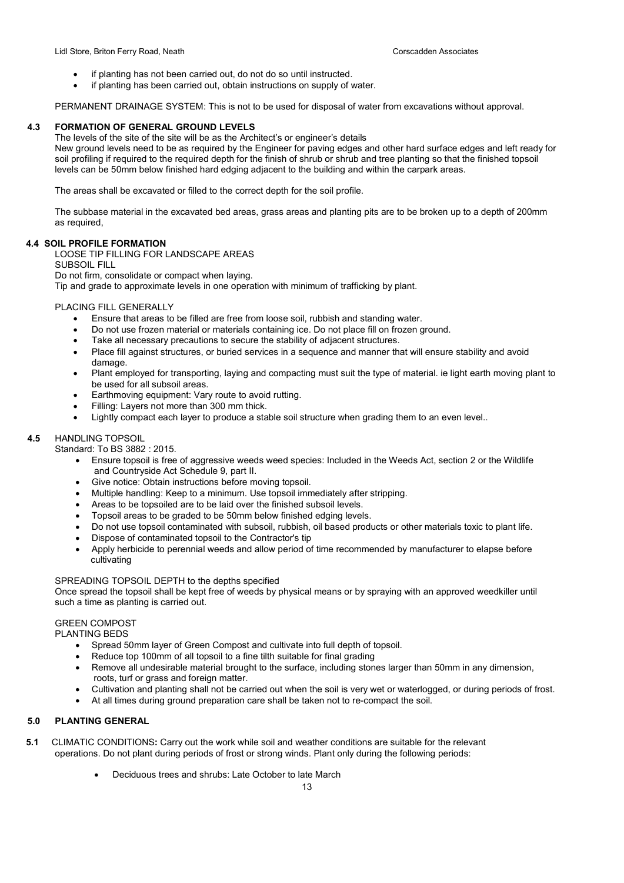- if planting has not been carried out, do not do so until instructed.
- if planting has been carried out, obtain instructions on supply of water.

PERMANENT DRAINAGE SYSTEM: This is not to be used for disposal of water from excavations without approval.

## 4.3 FORMATION OF GENERAL GROUND LEVELS

The levels of the site of the site will be as the Architect's or engineer's details

New ground levels need to be as required by the Engineer for paving edges and other hard surface edges and left ready for soil profiling if required to the required depth for the finish of shrub or shrub and tree planting so that the finished topsoil levels can be 50mm below finished hard edging adjacent to the building and within the carpark areas.

The areas shall be excavated or filled to the correct depth for the soil profile.

The subbase material in the excavated bed areas, grass areas and planting pits are to be broken up to a depth of 200mm as required,

#### 4.4 SOIL PROFILE FORMATION

LOOSE TIP FILLING FOR LANDSCAPE AREAS

SUBSOIL FILL

Do not firm, consolidate or compact when laying.

Tip and grade to approximate levels in one operation with minimum of trafficking by plant.

#### PLACING FILL GENERALLY

- Ensure that areas to be filled are free from loose soil, rubbish and standing water.
- Do not use frozen material or materials containing ice. Do not place fill on frozen ground.
- Take all necessary precautions to secure the stability of adjacent structures.
- Place fill against structures, or buried services in a sequence and manner that will ensure stability and avoid damage.
- Plant employed for transporting, laying and compacting must suit the type of material. ie light earth moving plant to be used for all subsoil areas.
- Earthmoving equipment: Vary route to avoid rutting.
- Filling: Layers not more than 300 mm thick.
- Lightly compact each layer to produce a stable soil structure when grading them to an even level..

## 4.5 HANDLING TOPSOIL

Standard: To BS 3882 : 2015.

- Ensure topsoil is free of aggressive weeds weed species: Included in the Weeds Act, section 2 or the Wildlife and Countryside Act Schedule 9, part II.
- Give notice: Obtain instructions before moving topsoil.
- Multiple handling: Keep to a minimum. Use topsoil immediately after stripping.
- Areas to be topsoiled are to be laid over the finished subsoil levels.
- Topsoil areas to be graded to be 50mm below finished edging levels.
- Do not use topsoil contaminated with subsoil, rubbish, oil based products or other materials toxic to plant life.
- Dispose of contaminated topsoil to the Contractor's tip
- Apply herbicide to perennial weeds and allow period of time recommended by manufacturer to elapse before cultivating

## SPREADING TOPSOIL DEPTH to the depths specified

Once spread the topsoil shall be kept free of weeds by physical means or by spraying with an approved weedkiller until such a time as planting is carried out.

## GREEN COMPOST

PLANTING BEDS

- Spread 50mm layer of Green Compost and cultivate into full depth of topsoil.
- Reduce top 100mm of all topsoil to a fine tilth suitable for final grading
- Remove all undesirable material brought to the surface, including stones larger than 50mm in any dimension, roots, turf or grass and foreign matter.
- Cultivation and planting shall not be carried out when the soil is very wet or waterlogged, or during periods of frost.
- At all times during ground preparation care shall be taken not to re-compact the soil.

## 5.0 PLANTING GENERAL

- 5.1 CLIMATIC CONDITIONS: Carry out the work while soil and weather conditions are suitable for the relevant operations. Do not plant during periods of frost or strong winds. Plant only during the following periods:
	- Deciduous trees and shrubs: Late October to late March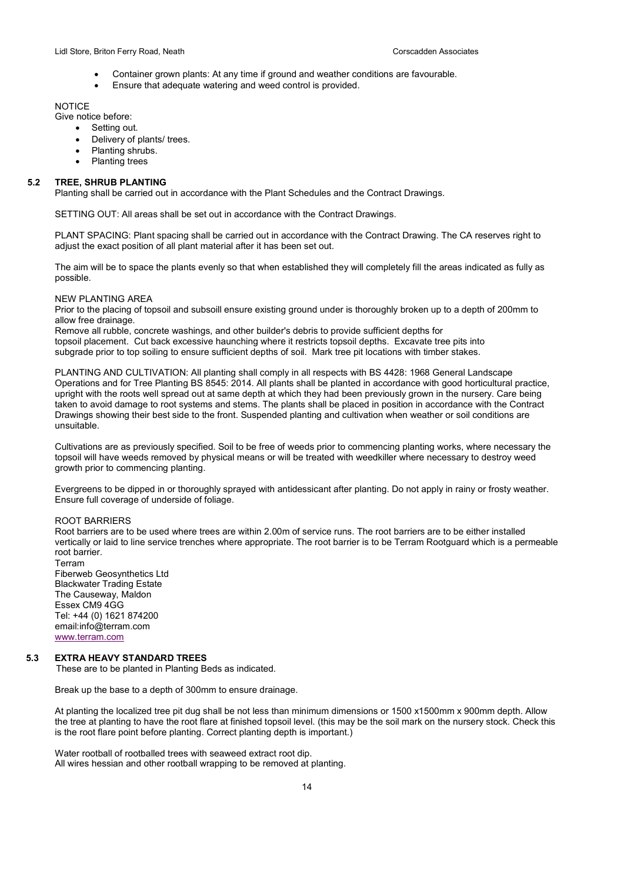- Container grown plants: At any time if ground and weather conditions are favourable.
- Ensure that adequate watering and weed control is provided.

#### **NOTICE**

Give notice before:

- Setting out.
- Delivery of plants/ trees.
- Planting shrubs.
- Planting trees

#### 5.2 TREE, SHRUB PLANTING

Planting shall be carried out in accordance with the Plant Schedules and the Contract Drawings.

SETTING OUT: All areas shall be set out in accordance with the Contract Drawings.

PLANT SPACING: Plant spacing shall be carried out in accordance with the Contract Drawing. The CA reserves right to adjust the exact position of all plant material after it has been set out.

The aim will be to space the plants evenly so that when established they will completely fill the areas indicated as fully as possible.

## NEW PLANTING AREA

Prior to the placing of topsoil and subsoill ensure existing ground under is thoroughly broken up to a depth of 200mm to allow free drainage.

Remove all rubble, concrete washings, and other builder's debris to provide sufficient depths for topsoil placement. Cut back excessive haunching where it restricts topsoil depths. Excavate tree pits into subgrade prior to top soiling to ensure sufficient depths of soil. Mark tree pit locations with timber stakes.

PLANTING AND CULTIVATION: All planting shall comply in all respects with BS 4428: 1968 General Landscape Operations and for Tree Planting BS 8545: 2014. All plants shall be planted in accordance with good horticultural practice, upright with the roots well spread out at same depth at which they had been previously grown in the nursery. Care being taken to avoid damage to root systems and stems. The plants shall be placed in position in accordance with the Contract Drawings showing their best side to the front. Suspended planting and cultivation when weather or soil conditions are unsuitable.

Cultivations are as previously specified. Soil to be free of weeds prior to commencing planting works, where necessary the topsoil will have weeds removed by physical means or will be treated with weedkiller where necessary to destroy weed growth prior to commencing planting.

Evergreens to be dipped in or thoroughly sprayed with antidessicant after planting. Do not apply in rainy or frosty weather. Ensure full coverage of underside of foliage.

## ROOT BARRIERS

Root barriers are to be used where trees are within 2.00m of service runs. The root barriers are to be either installed vertically or laid to line service trenches where appropriate. The root barrier is to be Terram Rootguard which is a permeable root barrier. Terram

Fiberweb Geosynthetics Ltd Blackwater Trading Estate The Causeway, Maldon Essex CM9 4GG Tel: +44 (0) 1621 874200 email:info@terram.com www.terram.com

#### 5.3 EXTRA HEAVY STANDARD TREES

These are to be planted in Planting Beds as indicated.

Break up the base to a depth of 300mm to ensure drainage.

At planting the localized tree pit dug shall be not less than minimum dimensions or 1500 x1500mm x 900mm depth. Allow the tree at planting to have the root flare at finished topsoil level. (this may be the soil mark on the nursery stock. Check this is the root flare point before planting. Correct planting depth is important.)

Water rootball of rootballed trees with seaweed extract root dip. All wires hessian and other rootball wrapping to be removed at planting.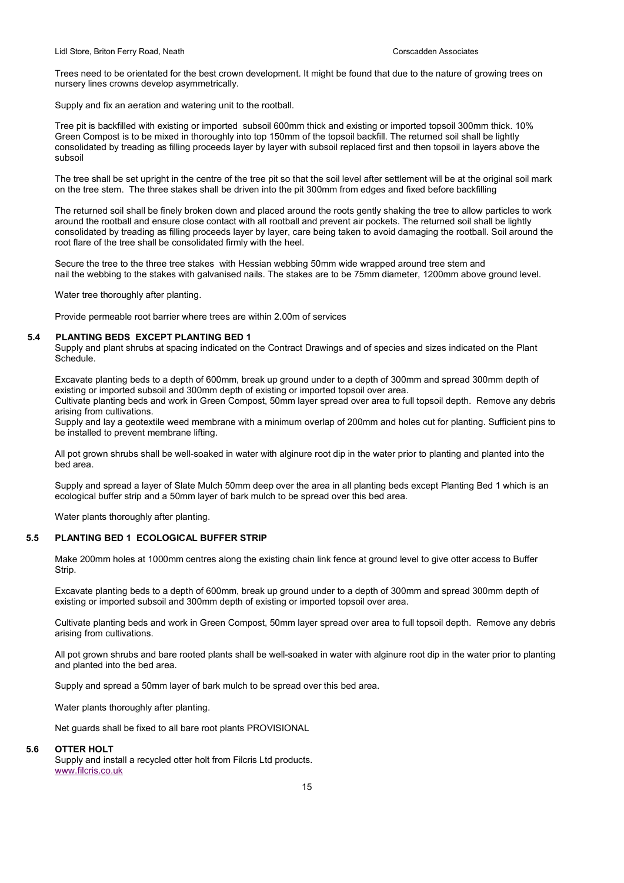Trees need to be orientated for the best crown development. It might be found that due to the nature of growing trees on nursery lines crowns develop asymmetrically.

Supply and fix an aeration and watering unit to the rootball.

Tree pit is backfilled with existing or imported subsoil 600mm thick and existing or imported topsoil 300mm thick. 10% Green Compost is to be mixed in thoroughly into top 150mm of the topsoil backfill. The returned soil shall be lightly consolidated by treading as filling proceeds layer by layer with subsoil replaced first and then topsoil in layers above the subsoil

The tree shall be set upright in the centre of the tree pit so that the soil level after settlement will be at the original soil mark on the tree stem. The three stakes shall be driven into the pit 300mm from edges and fixed before backfilling

The returned soil shall be finely broken down and placed around the roots gently shaking the tree to allow particles to work around the rootball and ensure close contact with all rootball and prevent air pockets. The returned soil shall be lightly consolidated by treading as filling proceeds layer by layer, care being taken to avoid damaging the rootball. Soil around the root flare of the tree shall be consolidated firmly with the heel.

Secure the tree to the three tree stakes with Hessian webbing 50mm wide wrapped around tree stem and nail the webbing to the stakes with galvanised nails. The stakes are to be 75mm diameter, 1200mm above ground level.

Water tree thoroughly after planting.

Provide permeable root barrier where trees are within 2.00m of services

## 5.4 PLANTING BEDS EXCEPT PLANTING BED 1

Supply and plant shrubs at spacing indicated on the Contract Drawings and of species and sizes indicated on the Plant Schedule.

Excavate planting beds to a depth of 600mm, break up ground under to a depth of 300mm and spread 300mm depth of existing or imported subsoil and 300mm depth of existing or imported topsoil over area.

Cultivate planting beds and work in Green Compost, 50mm layer spread over area to full topsoil depth. Remove any debris arising from cultivations.

Supply and lay a geotextile weed membrane with a minimum overlap of 200mm and holes cut for planting. Sufficient pins to be installed to prevent membrane lifting.

All pot grown shrubs shall be well-soaked in water with alginure root dip in the water prior to planting and planted into the bed area.

Supply and spread a layer of Slate Mulch 50mm deep over the area in all planting beds except Planting Bed 1 which is an ecological buffer strip and a 50mm layer of bark mulch to be spread over this bed area.

Water plants thoroughly after planting.

## 5.5 PLANTING BED 1 ECOLOGICAL BUFFER STRIP

Make 200mm holes at 1000mm centres along the existing chain link fence at ground level to give otter access to Buffer Strip.

Excavate planting beds to a depth of 600mm, break up ground under to a depth of 300mm and spread 300mm depth of existing or imported subsoil and 300mm depth of existing or imported topsoil over area.

Cultivate planting beds and work in Green Compost, 50mm layer spread over area to full topsoil depth. Remove any debris arising from cultivations.

All pot grown shrubs and bare rooted plants shall be well-soaked in water with alginure root dip in the water prior to planting and planted into the bed area.

Supply and spread a 50mm layer of bark mulch to be spread over this bed area.

Water plants thoroughly after planting.

Net guards shall be fixed to all bare root plants PROVISIONAL

## 5.6 OTTER HOLT

Supply and install a recycled otter holt from Filcris Ltd products. www.filcris.co.uk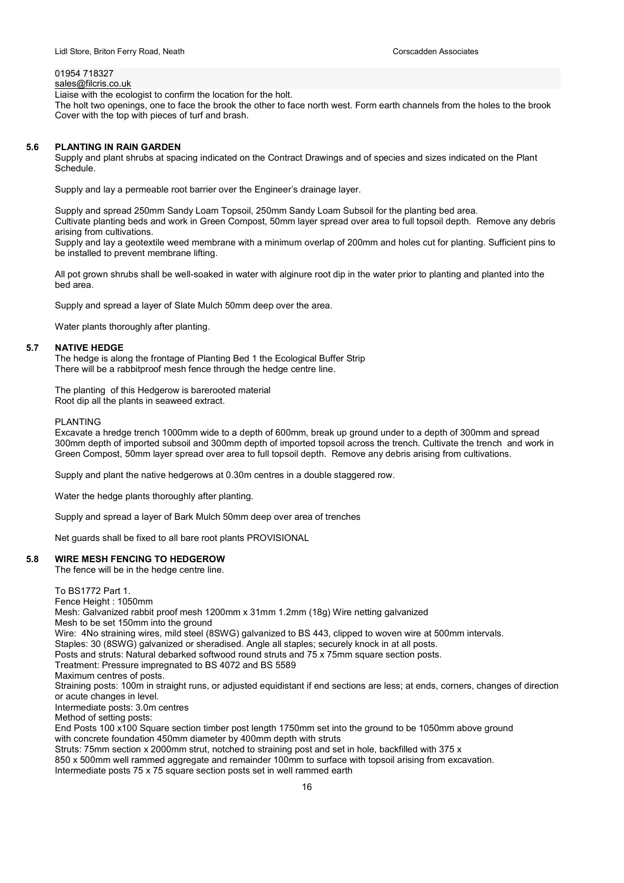## 01954 718327

sales@filcris.co.uk Liaise with the ecologist to confirm the location for the holt.

The holt two openings, one to face the brook the other to face north west. Form earth channels from the holes to the brook Cover with the top with pieces of turf and brash.

#### 5.6 PLANTING IN RAIN GARDEN

Supply and plant shrubs at spacing indicated on the Contract Drawings and of species and sizes indicated on the Plant Schedule.

Supply and lay a permeable root barrier over the Engineer's drainage layer.

Supply and spread 250mm Sandy Loam Topsoil, 250mm Sandy Loam Subsoil for the planting bed area. Cultivate planting beds and work in Green Compost, 50mm layer spread over area to full topsoil depth. Remove any debris arising from cultivations.

Supply and lay a geotextile weed membrane with a minimum overlap of 200mm and holes cut for planting. Sufficient pins to be installed to prevent membrane lifting.

All pot grown shrubs shall be well-soaked in water with alginure root dip in the water prior to planting and planted into the bed area.

Supply and spread a layer of Slate Mulch 50mm deep over the area.

Water plants thoroughly after planting.

#### 5.7 NATIVE HEDGE

The hedge is along the frontage of Planting Bed 1 the Ecological Buffer Strip There will be a rabbitproof mesh fence through the hedge centre line.

The planting of this Hedgerow is barerooted material Root dip all the plants in seaweed extract.

#### PLANTING

Excavate a hredge trench 1000mm wide to a depth of 600mm, break up ground under to a depth of 300mm and spread 300mm depth of imported subsoil and 300mm depth of imported topsoil across the trench. Cultivate the trench and work in Green Compost, 50mm layer spread over area to full topsoil depth. Remove any debris arising from cultivations.

Supply and plant the native hedgerows at 0.30m centres in a double staggered row.

Water the hedge plants thoroughly after planting.

Supply and spread a layer of Bark Mulch 50mm deep over area of trenches

Net guards shall be fixed to all bare root plants PROVISIONAL

#### 5.8 WIRE MESH FENCING TO HEDGEROW

The fence will be in the hedge centre line.

#### To BS1772 Part 1.

Fence Height : 1050mm

Mesh: Galvanized rabbit proof mesh 1200mm x 31mm 1.2mm (18g) Wire netting galvanized Mesh to be set 150mm into the ground

Wire: 4No straining wires, mild steel (8SWG) galvanized to BS 443, clipped to woven wire at 500mm intervals.

Staples: 30 (8SWG) galvanized or sheradised. Angle all staples; securely knock in at all posts.

Posts and struts: Natural debarked softwood round struts and 75 x 75mm square section posts.

Treatment: Pressure impregnated to BS 4072 and BS 5589

Maximum centres of posts.

Straining posts: 100m in straight runs, or adjusted equidistant if end sections are less; at ends, corners, changes of direction or acute changes in level.

Intermediate posts: 3.0m centres

Method of setting posts:

End Posts 100 x100 Square section timber post length 1750mm set into the ground to be 1050mm above ground with concrete foundation 450mm diameter by 400mm depth with struts

Struts: 75mm section x 2000mm strut, notched to straining post and set in hole, backfilled with 375 x

850 x 500mm well rammed aggregate and remainder 100mm to surface with topsoil arising from excavation.

Intermediate posts 75 x 75 square section posts set in well rammed earth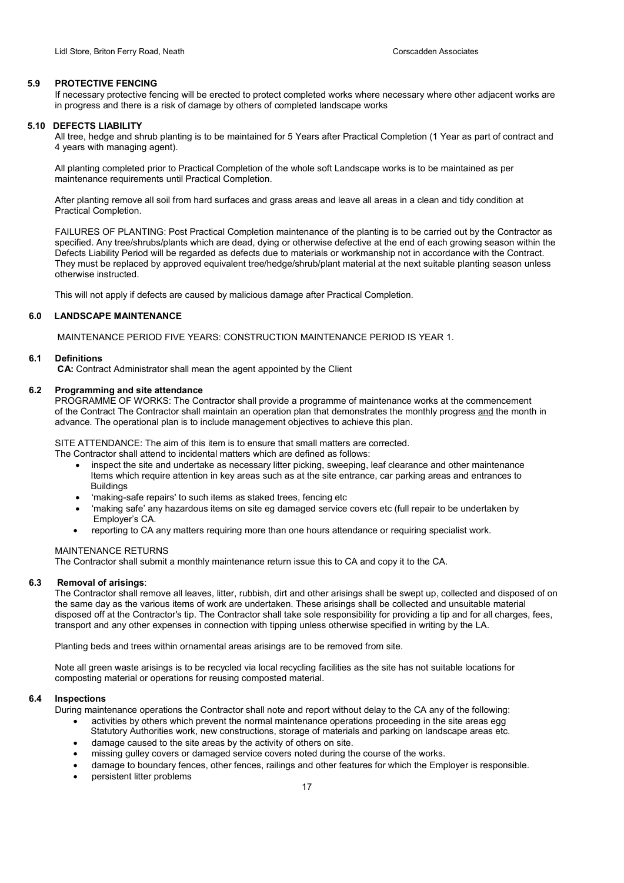## 5.9 PROTECTIVE FENCING

If necessary protective fencing will be erected to protect completed works where necessary where other adjacent works are in progress and there is a risk of damage by others of completed landscape works

## 5.10 DEFECTS LIABILITY

All tree, hedge and shrub planting is to be maintained for 5 Years after Practical Completion (1 Year as part of contract and 4 years with managing agent).

All planting completed prior to Practical Completion of the whole soft Landscape works is to be maintained as per maintenance requirements until Practical Completion.

After planting remove all soil from hard surfaces and grass areas and leave all areas in a clean and tidy condition at Practical Completion.

FAILURES OF PLANTING: Post Practical Completion maintenance of the planting is to be carried out by the Contractor as specified. Any tree/shrubs/plants which are dead, dying or otherwise defective at the end of each growing season within the Defects Liability Period will be regarded as defects due to materials or workmanship not in accordance with the Contract. They must be replaced by approved equivalent tree/hedge/shrub/plant material at the next suitable planting season unless otherwise instructed.

This will not apply if defects are caused by malicious damage after Practical Completion.

## 6.0 LANDSCAPE MAINTENANCE

MAINTENANCE PERIOD FIVE YEARS: CONSTRUCTION MAINTENANCE PERIOD IS YEAR 1.

#### 6.1 Definitions

CA: Contract Administrator shall mean the agent appointed by the Client

## 6.2 Programming and site attendance

PROGRAMME OF WORKS: The Contractor shall provide a programme of maintenance works at the commencement of the Contract The Contractor shall maintain an operation plan that demonstrates the monthly progress and the month in advance. The operational plan is to include management objectives to achieve this plan.

SITE ATTENDANCE: The aim of this item is to ensure that small matters are corrected. The Contractor shall attend to incidental matters which are defined as follows:

- inspect the site and undertake as necessary litter picking, sweeping, leaf clearance and other maintenance Items which require attention in key areas such as at the site entrance, car parking areas and entrances to **Buildings**
- 'making-safe repairs' to such items as staked trees, fencing etc
- 'making safe' any hazardous items on site eg damaged service covers etc (full repair to be undertaken by Employer's CA.
- reporting to CA any matters requiring more than one hours attendance or requiring specialist work.

#### MAINTENANCE RETURNS

The Contractor shall submit a monthly maintenance return issue this to CA and copy it to the CA.

## 6.3 Removal of arisings:

The Contractor shall remove all leaves, litter, rubbish, dirt and other arisings shall be swept up, collected and disposed of on the same day as the various items of work are undertaken. These arisings shall be collected and unsuitable material disposed off at the Contractor's tip. The Contractor shall take sole responsibility for providing a tip and for all charges, fees, transport and any other expenses in connection with tipping unless otherwise specified in writing by the LA.

Planting beds and trees within ornamental areas arisings are to be removed from site.

Note all green waste arisings is to be recycled via local recycling facilities as the site has not suitable locations for composting material or operations for reusing composted material.

## 6.4 Inspections

During maintenance operations the Contractor shall note and report without delay to the CA any of the following:

- activities by others which prevent the normal maintenance operations proceeding in the site areas egg Statutory Authorities work, new constructions, storage of materials and parking on landscape areas etc.
- damage caused to the site areas by the activity of others on site.
- missing gulley covers or damaged service covers noted during the course of the works.
- damage to boundary fences, other fences, railings and other features for which the Employer is responsible.
- persistent litter problems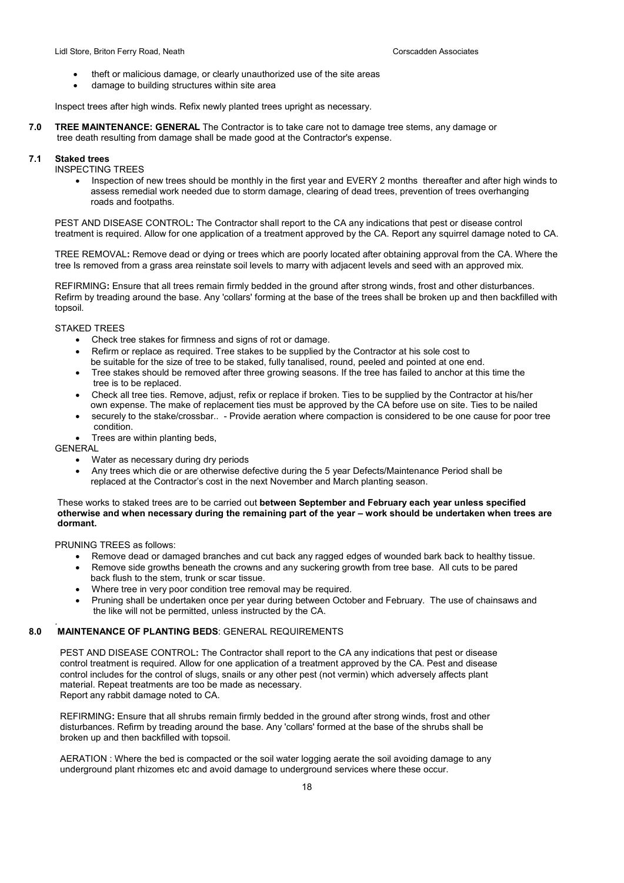- theft or malicious damage, or clearly unauthorized use of the site areas
- damage to building structures within site area

Inspect trees after high winds. Refix newly planted trees upright as necessary.

7.0 TREE MAINTENANCE: GENERAL The Contractor is to take care not to damage tree stems, any damage or tree death resulting from damage shall be made good at the Contractor's expense.

## 7.1 Staked trees

## INSPECTING TREES

• Inspection of new trees should be monthly in the first year and EVERY 2 months thereafter and after high winds to assess remedial work needed due to storm damage, clearing of dead trees, prevention of trees overhanging roads and footpaths.

PEST AND DISEASE CONTROL: The Contractor shall report to the CA any indications that pest or disease control treatment is required. Allow for one application of a treatment approved by the CA. Report any squirrel damage noted to CA.

TREE REMOVAL: Remove dead or dying or trees which are poorly located after obtaining approval from the CA. Where the tree Is removed from a grass area reinstate soil levels to marry with adjacent levels and seed with an approved mix.

REFIRMING: Ensure that all trees remain firmly bedded in the ground after strong winds, frost and other disturbances. Refirm by treading around the base. Any 'collars' forming at the base of the trees shall be broken up and then backfilled with topsoil.

## STAKED TREES

- Check tree stakes for firmness and signs of rot or damage.
- Refirm or replace as required. Tree stakes to be supplied by the Contractor at his sole cost to be suitable for the size of tree to be staked, fully tanalised, round, peeled and pointed at one end.
- Tree stakes should be removed after three growing seasons. If the tree has failed to anchor at this time the tree is to be replaced.
- Check all tree ties. Remove, adjust, refix or replace if broken. Ties to be supplied by the Contractor at his/her own expense. The make of replacement ties must be approved by the CA before use on site. Ties to be nailed
- securely to the stake/crossbar.. Provide aeration where compaction is considered to be one cause for poor tree condition.
- Trees are within planting beds,

## GENERAL

.

- Water as necessary during dry periods
- Any trees which die or are otherwise defective during the 5 year Defects/Maintenance Period shall be replaced at the Contractor's cost in the next November and March planting season.

## These works to staked trees are to be carried out between September and February each year unless specified otherwise and when necessary during the remaining part of the year – work should be undertaken when trees are dormant.

PRUNING TREES as follows:

- Remove dead or damaged branches and cut back any ragged edges of wounded bark back to healthy tissue.
- Remove side growths beneath the crowns and any suckering growth from tree base. All cuts to be pared back flush to the stem, trunk or scar tissue.
- Where tree in very poor condition tree removal may be required.
- Pruning shall be undertaken once per year during between October and February. The use of chainsaws and the like will not be permitted, unless instructed by the CA.

## 8.0 MAINTENANCE OF PLANTING BEDS: GENERAL REQUIREMENTS

 PEST AND DISEASE CONTROL: The Contractor shall report to the CA any indications that pest or disease control treatment is required. Allow for one application of a treatment approved by the CA. Pest and disease control includes for the control of slugs, snails or any other pest (not vermin) which adversely affects plant material. Repeat treatments are too be made as necessary. Report any rabbit damage noted to CA.

 REFIRMING: Ensure that all shrubs remain firmly bedded in the ground after strong winds, frost and other disturbances. Refirm by treading around the base. Any 'collars' formed at the base of the shrubs shall be broken up and then backfilled with topsoil.

 AERATION : Where the bed is compacted or the soil water logging aerate the soil avoiding damage to any underground plant rhizomes etc and avoid damage to underground services where these occur.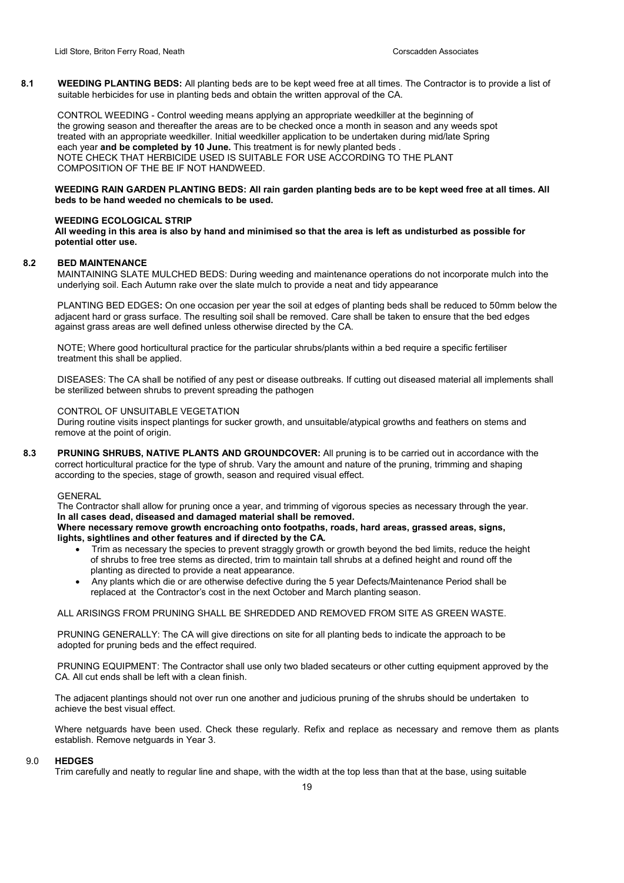8.1 WEEDING PLANTING BEDS: All planting beds are to be kept weed free at all times. The Contractor is to provide a list of suitable herbicides for use in planting beds and obtain the written approval of the CA.

 CONTROL WEEDING - Control weeding means applying an appropriate weedkiller at the beginning of the growing season and thereafter the areas are to be checked once a month in season and any weeds spot treated with an appropriate weedkiller. Initial weedkiller application to be undertaken during mid/late Spring each year and be completed by 10 June. This treatment is for newly planted beds NOTE CHECK THAT HERBICIDE USED IS SUITABLE FOR USE ACCORDING TO THE PLANT COMPOSITION OF THE BE IF NOT HANDWEED.

## WEEDING RAIN GARDEN PLANTING BEDS: All rain garden planting beds are to be kept weed free at all times. All beds to be hand weeded no chemicals to be used.

## WEEDING ECOLOGICAL STRIP

All weeding in this area is also by hand and minimised so that the area is left as undisturbed as possible for potential otter use.

## 8.2 BED MAINTENANCE

 MAINTAINING SLATE MULCHED BEDS: During weeding and maintenance operations do not incorporate mulch into the underlying soil. Each Autumn rake over the slate mulch to provide a neat and tidy appearance

 PLANTING BED EDGES: On one occasion per year the soil at edges of planting beds shall be reduced to 50mm below the adjacent hard or grass surface. The resulting soil shall be removed. Care shall be taken to ensure that the bed edges against grass areas are well defined unless otherwise directed by the CA.

 NOTE; Where good horticultural practice for the particular shrubs/plants within a bed require a specific fertiliser treatment this shall be applied.

 DISEASES: The CA shall be notified of any pest or disease outbreaks. If cutting out diseased material all implements shall be sterilized between shrubs to prevent spreading the pathogen

## CONTROL OF UNSUITABLE VEGETATION

 During routine visits inspect plantings for sucker growth, and unsuitable/atypical growths and feathers on stems and remove at the point of origin.

8.3 PRUNING SHRUBS, NATIVE PLANTS AND GROUNDCOVER: All pruning is to be carried out in accordance with the correct horticultural practice for the type of shrub. Vary the amount and nature of the pruning, trimming and shaping according to the species, stage of growth, season and required visual effect.

#### **GENERAL**

 The Contractor shall allow for pruning once a year, and trimming of vigorous species as necessary through the year. In all cases dead, diseased and damaged material shall be removed.

Where necessary remove growth encroaching onto footpaths, roads, hard areas, grassed areas, signs, lights, sightlines and other features and if directed by the CA.

- Trim as necessary the species to prevent straggly growth or growth beyond the bed limits, reduce the height of shrubs to free tree stems as directed, trim to maintain tall shrubs at a defined height and round off the planting as directed to provide a neat appearance.
- Any plants which die or are otherwise defective during the 5 year Defects/Maintenance Period shall be replaced at the Contractor's cost in the next October and March planting season.

ALL ARISINGS FROM PRUNING SHALL BE SHREDDED AND REMOVED FROM SITE AS GREEN WASTE.

 PRUNING GENERALLY: The CA will give directions on site for all planting beds to indicate the approach to be adopted for pruning beds and the effect required.

 PRUNING EQUIPMENT: The Contractor shall use only two bladed secateurs or other cutting equipment approved by the CA. All cut ends shall be left with a clean finish.

The adjacent plantings should not over run one another and judicious pruning of the shrubs should be undertaken to achieve the best visual effect.

Where netguards have been used. Check these regularly. Refix and replace as necessary and remove them as plants establish. Remove netguards in Year 3.

#### 90 HEDGES

Trim carefully and neatly to regular line and shape, with the width at the top less than that at the base, using suitable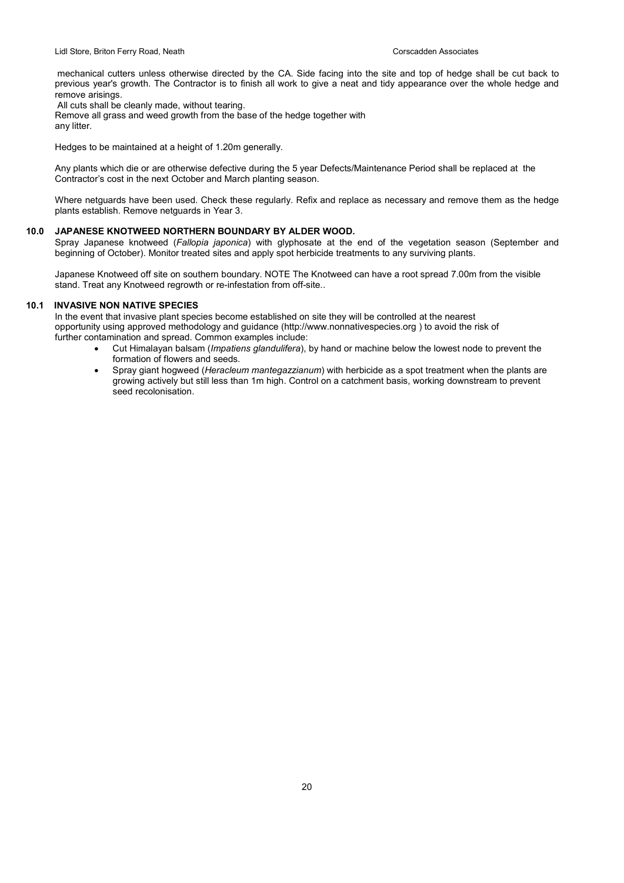mechanical cutters unless otherwise directed by the CA. Side facing into the site and top of hedge shall be cut back to previous year's growth. The Contractor is to finish all work to give a neat and tidy appearance over the whole hedge and remove arisings.

All cuts shall be cleanly made, without tearing.

Remove all grass and weed growth from the base of the hedge together with

any litter.

Hedges to be maintained at a height of 1.20m generally.

Any plants which die or are otherwise defective during the 5 year Defects/Maintenance Period shall be replaced at the Contractor's cost in the next October and March planting season.

Where netguards have been used. Check these regularly. Refix and replace as necessary and remove them as the hedge plants establish. Remove netguards in Year 3.

#### 10.0 JAPANESE KNOTWEED NORTHERN BOUNDARY BY ALDER WOOD.

Spray Japanese knotweed (Fallopia japonica) with glyphosate at the end of the vegetation season (September and beginning of October). Monitor treated sites and apply spot herbicide treatments to any surviving plants.

Japanese Knotweed off site on southern boundary. NOTE The Knotweed can have a root spread 7.00m from the visible stand. Treat any Knotweed regrowth or re-infestation from off-site..

## 10.1 INVASIVE NON NATIVE SPECIES

In the event that invasive plant species become established on site they will be controlled at the nearest opportunity using approved methodology and guidance (http://www.nonnativespecies.org ) to avoid the risk of further contamination and spread. Common examples include:

- Cut Himalayan balsam (Impatiens glandulifera), by hand or machine below the lowest node to prevent the formation of flowers and seeds.
- Spray giant hogweed (Heracleum mantegazzianum) with herbicide as a spot treatment when the plants are growing actively but still less than 1m high. Control on a catchment basis, working downstream to prevent seed recolonisation.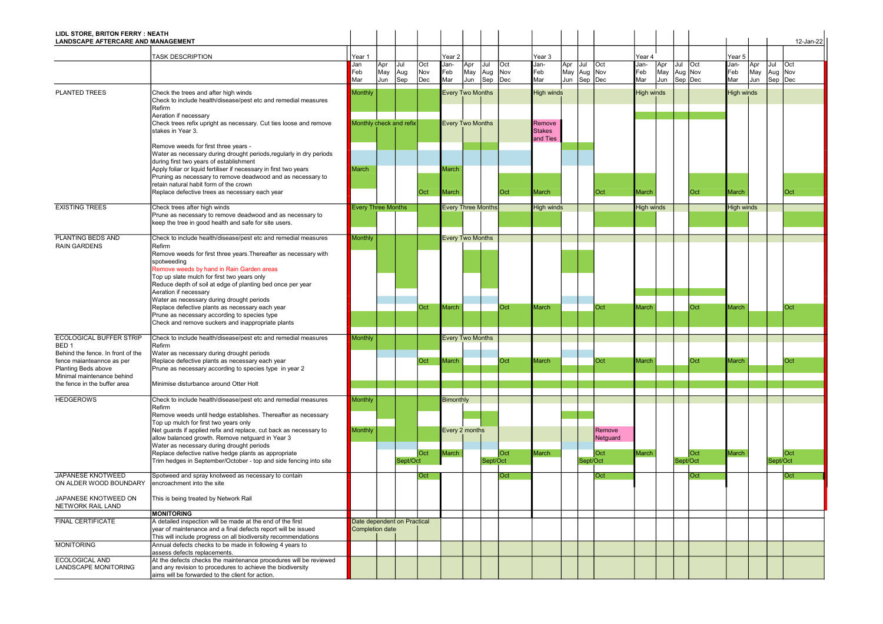| LIDL STORE, BRITON FERRY : NEATH<br>LANDSCAPE AFTERCARE AND MANAGEMENT |                                                                                                                            |                             |     |          |     |                           |     |          |     |                                     |             |          |                    |                   |     |          |            |                   |     |          | 12-Jan-22 |
|------------------------------------------------------------------------|----------------------------------------------------------------------------------------------------------------------------|-----------------------------|-----|----------|-----|---------------------------|-----|----------|-----|-------------------------------------|-------------|----------|--------------------|-------------------|-----|----------|------------|-------------------|-----|----------|-----------|
|                                                                        |                                                                                                                            |                             |     |          |     |                           |     |          |     |                                     |             |          |                    |                   |     |          |            |                   |     |          |           |
|                                                                        | <b>TASK DESCRIPTION</b>                                                                                                    | Year 1<br>Jan               | Apr | Jul      | Oct | Year 2<br>Jan-            | Apr | Jul      | Oct | Year 3<br>Jan-                      | Apr         | Jul      | Oct                | Year 4<br>Jan-    | Apr | Jul      | <b>Oct</b> | Year 5<br>Jan-    | Apr | Jul      | Oct       |
|                                                                        |                                                                                                                            | Feb                         | May | Aug      | Nov | Feb<br>Mar                | May | Aug      | Nov | Feb<br>Mar                          | May Aug Nov |          |                    | Feb               | May | Aug Nov  |            | Feb<br>Mar        | May | Aug Nov  |           |
|                                                                        |                                                                                                                            | Mar                         | Jun | Sep      | Dec |                           | Jun | Sep      | Dec |                                     | Jun         | Sep      | Dec                | Mar               | Jun | Sep Dec  |            |                   | Jun | Sep      | Dec       |
| <b>PLANTED TREES</b>                                                   | Check the trees and after high winds<br>Check to include health/disease/pest etc and remedial measures<br>Refirm           | Monthly                     |     |          |     | <b>Every Two Months</b>   |     |          |     | <b>High winds</b>                   |             |          |                    | <b>High winds</b> |     |          |            | <b>High winds</b> |     |          |           |
|                                                                        | Aeration if necessary                                                                                                      |                             |     |          |     |                           |     |          |     |                                     |             |          |                    |                   |     |          |            |                   |     |          |           |
|                                                                        | Check trees refix upright as necessary. Cut ties loose and remove<br>stakes in Year 3.                                     | Monthly check and refix     |     |          |     | <b>Every Two Months</b>   |     |          |     | Remove<br><b>Stakes</b><br>and Ties |             |          |                    |                   |     |          |            |                   |     |          |           |
|                                                                        | Remove weeds for first three years -                                                                                       |                             |     |          |     |                           |     |          |     |                                     |             |          |                    |                   |     |          |            |                   |     |          |           |
|                                                                        | Water as necessary during drought periods, regularly in dry periods<br>during first two years of establishment             |                             |     |          |     |                           |     |          |     |                                     |             |          |                    |                   |     |          |            |                   |     |          |           |
|                                                                        | Apply foliar or liquid fertiliser if necessary in first two years                                                          | March                       |     |          |     | March                     |     |          |     |                                     |             |          |                    |                   |     |          |            |                   |     |          |           |
|                                                                        | Pruning as necessary to remove deadwood and as necessary to<br>retain natural habit form of the crown                      |                             |     |          |     |                           |     |          |     |                                     |             |          |                    |                   |     |          |            |                   |     |          |           |
|                                                                        | Replace defective trees as necessary each year                                                                             |                             |     |          | Oct | March                     |     |          | Oct | March                               |             |          | Oct                | March             |     |          | Oct        | March             |     |          | Oct       |
| <b>EXISTING TREES</b>                                                  | Check trees after high winds                                                                                               | <b>Every Three Months</b>   |     |          |     | <b>Every Three Months</b> |     |          |     | <b>High winds</b>                   |             |          |                    | <b>High winds</b> |     |          |            | <b>High winds</b> |     |          |           |
|                                                                        | Prune as necessary to remove deadwood and as necessary to                                                                  |                             |     |          |     |                           |     |          |     |                                     |             |          |                    |                   |     |          |            |                   |     |          |           |
|                                                                        | keep the tree in good health and safe for site users.                                                                      |                             |     |          |     |                           |     |          |     |                                     |             |          |                    |                   |     |          |            |                   |     |          |           |
| PLANTING BEDS AND<br><b>RAIN GARDENS</b>                               | Check to include health/disease/pest etc and remedial measures<br>Refirm                                                   | <b>Monthly</b>              |     |          |     | <b>Every Two Months</b>   |     |          |     |                                     |             |          |                    |                   |     |          |            |                   |     |          |           |
|                                                                        | Remove weeds for first three years. Thereafter as necessary with                                                           |                             |     |          |     |                           |     |          |     |                                     |             |          |                    |                   |     |          |            |                   |     |          |           |
|                                                                        | spotweeding<br>Remove weeds by hand in Rain Garden areas                                                                   |                             |     |          |     |                           |     |          |     |                                     |             |          |                    |                   |     |          |            |                   |     |          |           |
|                                                                        | Top up slate mulch for first two years only                                                                                |                             |     |          |     |                           |     |          |     |                                     |             |          |                    |                   |     |          |            |                   |     |          |           |
|                                                                        | Reduce depth of soil at edge of planting bed once per year<br>Aeration if necessary                                        |                             |     |          |     |                           |     |          |     |                                     |             |          |                    |                   |     |          |            |                   |     |          |           |
|                                                                        | Water as necessary during drought periods                                                                                  |                             |     |          |     |                           |     |          |     |                                     |             |          |                    |                   |     |          |            |                   |     |          |           |
|                                                                        | Replace defective plants as necessary each year<br>Prune as necessary according to species type                            |                             |     |          | Oct | March                     |     |          | Oct | March                               |             |          | Oct                | March             |     |          | Oct        | <b>Aarch</b>      |     |          | Oct       |
|                                                                        | Check and remove suckers and inappropriate plants                                                                          |                             |     |          |     |                           |     |          |     |                                     |             |          |                    |                   |     |          |            |                   |     |          |           |
| <b>ECOLOGICAL BUFFER STRIP</b>                                         | Check to include health/disease/pest etc and remedial measures                                                             | Monthly                     |     |          |     | <b>Every Two Months</b>   |     |          |     |                                     |             |          |                    |                   |     |          |            |                   |     |          |           |
| BED <sub>1</sub><br>Behind the fence. In front of the                  | Refirm<br>Water as necessary during drought periods                                                                        |                             |     |          |     |                           |     |          |     |                                     |             |          |                    |                   |     |          |            |                   |     |          |           |
| fence maianteannce as per                                              | Replace defective plants as necessary each year                                                                            |                             |     |          | Oct | March                     |     |          | Oct | March                               |             |          | Oct                | March             |     |          | Oct        | <b>Aarch</b>      |     |          | Oct       |
| Planting Beds above<br>Minimal maintenance behind                      | Prune as necessary according to species type in year 2                                                                     |                             |     |          |     |                           |     |          |     |                                     |             |          |                    |                   |     |          |            |                   |     |          |           |
| the fence in the buffer area                                           | Minimise disturbance around Otter Holt                                                                                     |                             |     |          |     |                           |     |          |     |                                     |             |          |                    |                   |     |          |            |                   |     |          |           |
| <b>HEDGEROWS</b>                                                       | Check to include health/disease/pest etc and remedial measures                                                             | Monthly                     |     |          |     | <b>Bimonthly</b>          |     |          |     |                                     |             |          |                    |                   |     |          |            |                   |     |          |           |
|                                                                        | Refirm                                                                                                                     |                             |     |          |     |                           |     |          |     |                                     |             |          |                    |                   |     |          |            |                   |     |          |           |
|                                                                        | Remove weeds until hedge establishes. Thereafter as necessary<br>Top up mulch for first two years only                     |                             |     |          |     |                           |     |          |     |                                     |             |          |                    |                   |     |          |            |                   |     |          |           |
|                                                                        | Net guards if applied refix and replace, cut back as necessary to<br>allow balanced growth. Remove netguard in Year 3      | <b>Monthly</b>              |     |          |     | Every 2 months            |     |          |     |                                     |             |          | Remove<br>Netguard |                   |     |          |            |                   |     |          |           |
|                                                                        | Water as necessary during drought periods                                                                                  |                             |     |          |     |                           |     |          |     |                                     |             |          |                    |                   |     |          |            |                   |     |          |           |
|                                                                        | Replace defective native hedge plants as appropriate<br>Trim hedges in September/October - top and side fencing into site  |                             |     | Sept/Oct | Oct | March                     |     | Sept/Oct | Oct | March                               |             | Sept/Oct | Oct                | March             |     | Sept/Oct | Oct        | March             |     | Sept/Oct | Oct       |
|                                                                        |                                                                                                                            |                             |     |          |     |                           |     |          |     |                                     |             |          |                    |                   |     |          |            |                   |     |          |           |
| JAPANESE KNOTWEED<br>ON ALDER WOOD BOUNDARY                            | Spotweed and spray knotweed as necessary to contain<br>encroachment into the site                                          |                             |     |          | Oct |                           |     |          | Oct |                                     |             |          | Oct                |                   |     |          | Oct        |                   |     |          | Oct       |
| JAPANESE KNOTWEED ON<br>NETWORK RAIL LAND                              | This is being treated by Network Rail                                                                                      |                             |     |          |     |                           |     |          |     |                                     |             |          |                    |                   |     |          |            |                   |     |          |           |
| <b>FINAL CERTIFICATE</b>                                               | <b>MONITORING</b><br>A detailed inspection will be made at the end of the first                                            | Date dependent on Practical |     |          |     |                           |     |          |     |                                     |             |          |                    |                   |     |          |            |                   |     |          |           |
|                                                                        | year of maintenance and a final defects report will be issued                                                              | Completion date             |     |          |     |                           |     |          |     |                                     |             |          |                    |                   |     |          |            |                   |     |          |           |
| <b>MONITORING</b>                                                      | This will include progress on all biodiversity recommendations<br>Annual defects checks to be made in following 4 years to |                             |     |          |     |                           |     |          |     |                                     |             |          |                    |                   |     |          |            |                   |     |          |           |
| ECOLOGICAL AND                                                         | assess defects replacements.<br>At the defects checks the maintenance procedures will be reviewed                          |                             |     |          |     |                           |     |          |     |                                     |             |          |                    |                   |     |          |            |                   |     |          |           |
| LANDSCAPE MONITORING                                                   | and any revision to procedures to achieve the biodiversity                                                                 |                             |     |          |     |                           |     |          |     |                                     |             |          |                    |                   |     |          |            |                   |     |          |           |
|                                                                        | aims will be forwarded to the client for action.                                                                           |                             |     |          |     |                           |     |          |     |                                     |             |          |                    |                   |     |          |            |                   |     |          |           |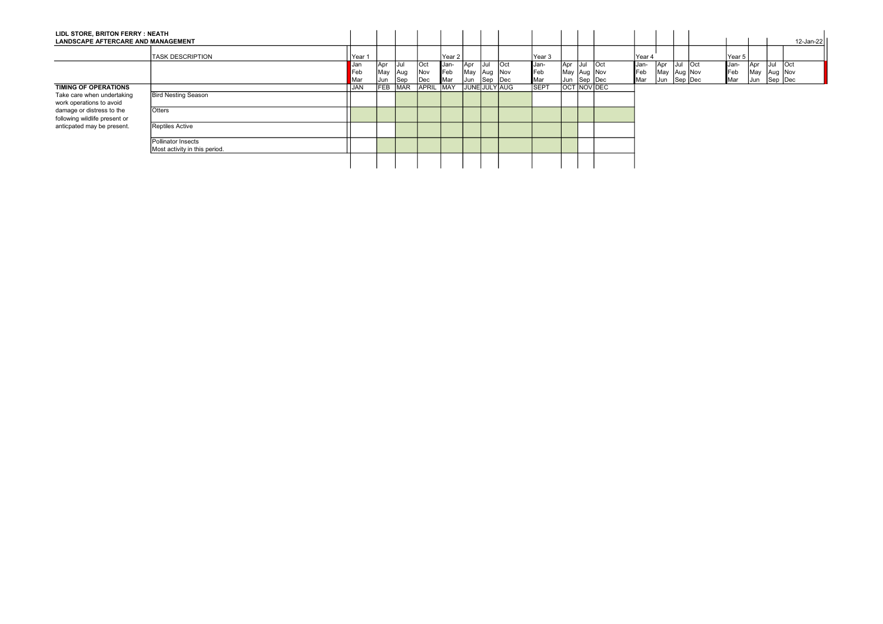| LIDL STORE, BRITON FERRY : NEATH<br><b>LANDSCAPE AFTERCARE AND MANAGEMENT</b>                                                                                              |                                                     |            |             |                    |                           |                   |                   |                    |         |             |                            |  |            |                            |  |            |             |                    | 12-Jan-22 |
|----------------------------------------------------------------------------------------------------------------------------------------------------------------------------|-----------------------------------------------------|------------|-------------|--------------------|---------------------------|-------------------|-------------------|--------------------|---------|-------------|----------------------------|--|------------|----------------------------|--|------------|-------------|--------------------|-----------|
|                                                                                                                                                                            | <b>TASK DESCRIPTION</b>                             | IYear 1    |             |                    |                           | Year <sub>2</sub> |                   |                    |         | Year 3      |                            |  | Year 4     |                            |  | Year 5     |             |                    |           |
|                                                                                                                                                                            |                                                     | <b>Jan</b> | Apr         | IJul               | <b>Oct</b>                | Jan-              | Apr               | lJul               | $ $ Oct | Jan-        | Apr Jul Oct                |  | Jan-       | Apr Jul Oct                |  | Jan-       | <b>Apr</b>  | lJul               | lOct      |
|                                                                                                                                                                            |                                                     | Feb<br>Mar | May<br> Jun | <b>Aug</b><br> Sep | <b>Nov</b><br>$\vert$ Dec | Feb<br>Mar        | May<br><b>Jun</b> | Aug Nov<br>Sep Dec |         | Feb<br>Mar  | May Aug Nov<br>Jun Sep Dec |  | Feb<br>Mar | May Aug Nov<br>Jun Sep Dec |  | Feb<br>Mar | May<br> Jun | Aug Nov<br>Sep Dec |           |
| TIMING OF OPERATIONS<br>Take care when undertaking<br>work operations to avoid<br>damage or distress to the<br>following wildlife present or<br>anticpated may be present. |                                                     | JAN        |             | FEB MAR            | APRIL MAY                 |                   | JUNE JULY AUG     |                    |         | <b>SEPT</b> | <b>OCT NOV DEC</b>         |  |            |                            |  |            |             |                    |           |
|                                                                                                                                                                            | <b>Bird Nesting Season</b>                          |            |             |                    |                           |                   |                   |                    |         |             |                            |  |            |                            |  |            |             |                    |           |
|                                                                                                                                                                            | Otters                                              |            |             |                    |                           |                   |                   |                    |         |             |                            |  |            |                            |  |            |             |                    |           |
|                                                                                                                                                                            | <b>Reptiles Active</b>                              |            |             |                    |                           |                   |                   |                    |         |             |                            |  |            |                            |  |            |             |                    |           |
|                                                                                                                                                                            | Pollinator Insects<br>Most activity in this period. |            |             |                    |                           |                   |                   |                    |         |             |                            |  |            |                            |  |            |             |                    |           |
|                                                                                                                                                                            |                                                     |            |             |                    |                           |                   |                   |                    |         |             |                            |  |            |                            |  |            |             |                    |           |